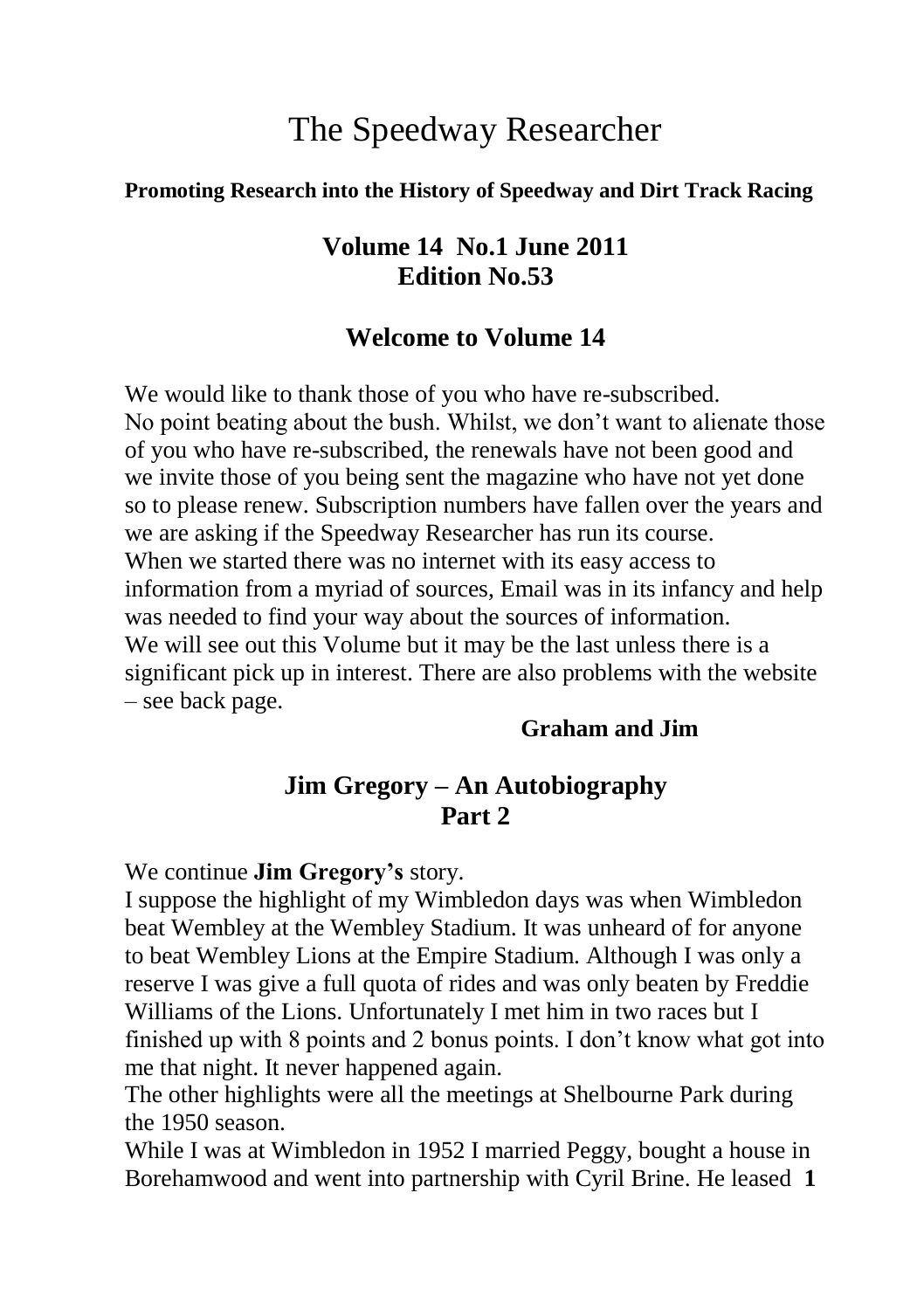# The Speedway Researcher

#### **Promoting Research into the History of Speedway and Dirt Track Racing**

### **Volume 14 No.1 June 2011 Edition No.53**

#### **Welcome to Volume 14**

We would like to thank those of you who have re-subscribed. No point beating about the bush. Whilst, we don't want to alienate those of you who have re-subscribed, the renewals have not been good and we invite those of you being sent the magazine who have not yet done so to please renew. Subscription numbers have fallen over the years and we are asking if the Speedway Researcher has run its course. When we started there was no internet with its easy access to information from a myriad of sources, Email was in its infancy and help was needed to find your way about the sources of information. We will see out this Volume but it may be the last unless there is a significant pick up in interest. There are also problems with the website – see back page.

#### **Graham and Jim**

### **Jim Gregory – An Autobiography Part 2**

We continue **Jim Gregory's** story.

I suppose the highlight of my Wimbledon days was when Wimbledon beat Wembley at the Wembley Stadium. It was unheard of for anyone to beat Wembley Lions at the Empire Stadium. Although I was only a reserve I was give a full quota of rides and was only beaten by Freddie Williams of the Lions. Unfortunately I met him in two races but I finished up with 8 points and 2 bonus points. I don't know what got into me that night. It never happened again.

The other highlights were all the meetings at Shelbourne Park during the 1950 season.

While I was at Wimbledon in 1952 I married Peggy, bought a house in Borehamwood and went into partnership with Cyril Brine. He leased **1**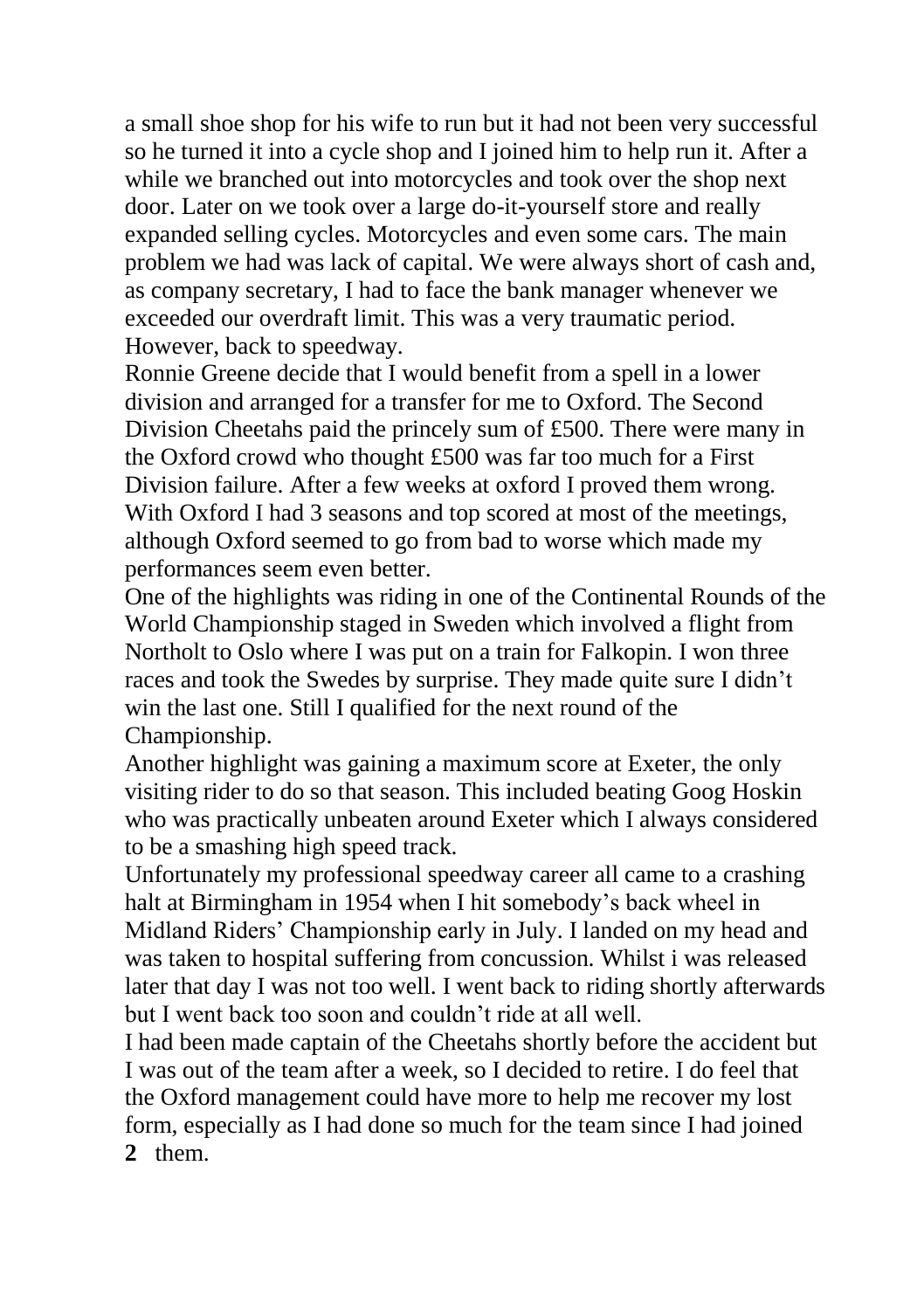a small shoe shop for his wife to run but it had not been very successful so he turned it into a cycle shop and I joined him to help run it. After a while we branched out into motorcycles and took over the shop next door. Later on we took over a large do-it-yourself store and really expanded selling cycles. Motorcycles and even some cars. The main problem we had was lack of capital. We were always short of cash and, as company secretary, I had to face the bank manager whenever we exceeded our overdraft limit. This was a very traumatic period. However, back to speedway.

Ronnie Greene decide that I would benefit from a spell in a lower division and arranged for a transfer for me to Oxford. The Second Division Cheetahs paid the princely sum of £500. There were many in the Oxford crowd who thought £500 was far too much for a First Division failure. After a few weeks at oxford I proved them wrong. With Oxford I had 3 seasons and top scored at most of the meetings, although Oxford seemed to go from bad to worse which made my performances seem even better.

One of the highlights was riding in one of the Continental Rounds of the World Championship staged in Sweden which involved a flight from Northolt to Oslo where I was put on a train for Falkopin. I won three races and took the Swedes by surprise. They made quite sure I didn't win the last one. Still I qualified for the next round of the Championship.

Another highlight was gaining a maximum score at Exeter, the only visiting rider to do so that season. This included beating Goog Hoskin who was practically unbeaten around Exeter which I always considered to be a smashing high speed track.

Unfortunately my professional speedway career all came to a crashing halt at Birmingham in 1954 when I hit somebody's back wheel in Midland Riders' Championship early in July. I landed on my head and was taken to hospital suffering from concussion. Whilst i was released later that day I was not too well. I went back to riding shortly afterwards but I went back too soon and couldn't ride at all well.

I had been made captain of the Cheetahs shortly before the accident but I was out of the team after a week, so I decided to retire. I do feel that the Oxford management could have more to help me recover my lost form, especially as I had done so much for the team since I had joined **2** them.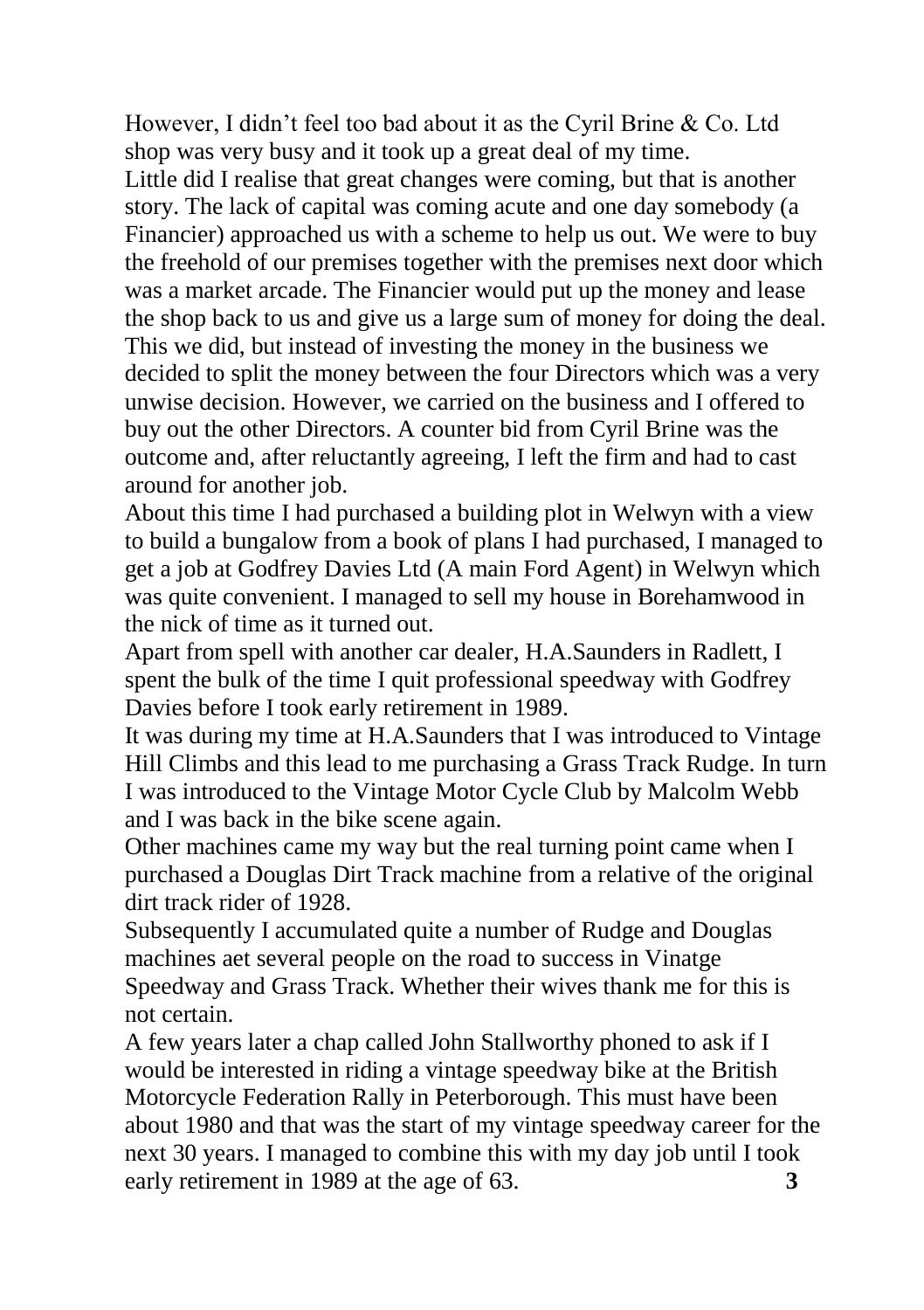However, I didn't feel too bad about it as the Cyril Brine & Co. Ltd shop was very busy and it took up a great deal of my time.

Little did I realise that great changes were coming, but that is another story. The lack of capital was coming acute and one day somebody (a Financier) approached us with a scheme to help us out. We were to buy the freehold of our premises together with the premises next door which was a market arcade. The Financier would put up the money and lease the shop back to us and give us a large sum of money for doing the deal. This we did, but instead of investing the money in the business we decided to split the money between the four Directors which was a very unwise decision. However, we carried on the business and I offered to buy out the other Directors. A counter bid from Cyril Brine was the outcome and, after reluctantly agreeing, I left the firm and had to cast around for another job.

About this time I had purchased a building plot in Welwyn with a view to build a bungalow from a book of plans I had purchased, I managed to get a job at Godfrey Davies Ltd (A main Ford Agent) in Welwyn which was quite convenient. I managed to sell my house in Borehamwood in the nick of time as it turned out.

Apart from spell with another car dealer, H.A.Saunders in Radlett, I spent the bulk of the time I quit professional speedway with Godfrey Davies before I took early retirement in 1989.

It was during my time at H.A.Saunders that I was introduced to Vintage Hill Climbs and this lead to me purchasing a Grass Track Rudge. In turn I was introduced to the Vintage Motor Cycle Club by Malcolm Webb and I was back in the bike scene again.

Other machines came my way but the real turning point came when I purchased a Douglas Dirt Track machine from a relative of the original dirt track rider of 1928.

Subsequently I accumulated quite a number of Rudge and Douglas machines aet several people on the road to success in Vinatge Speedway and Grass Track. Whether their wives thank me for this is not certain.

A few years later a chap called John Stallworthy phoned to ask if I would be interested in riding a vintage speedway bike at the British Motorcycle Federation Rally in Peterborough. This must have been about 1980 and that was the start of my vintage speedway career for the next 30 years. I managed to combine this with my day job until I took early retirement in 1989 at the age of 63. **3**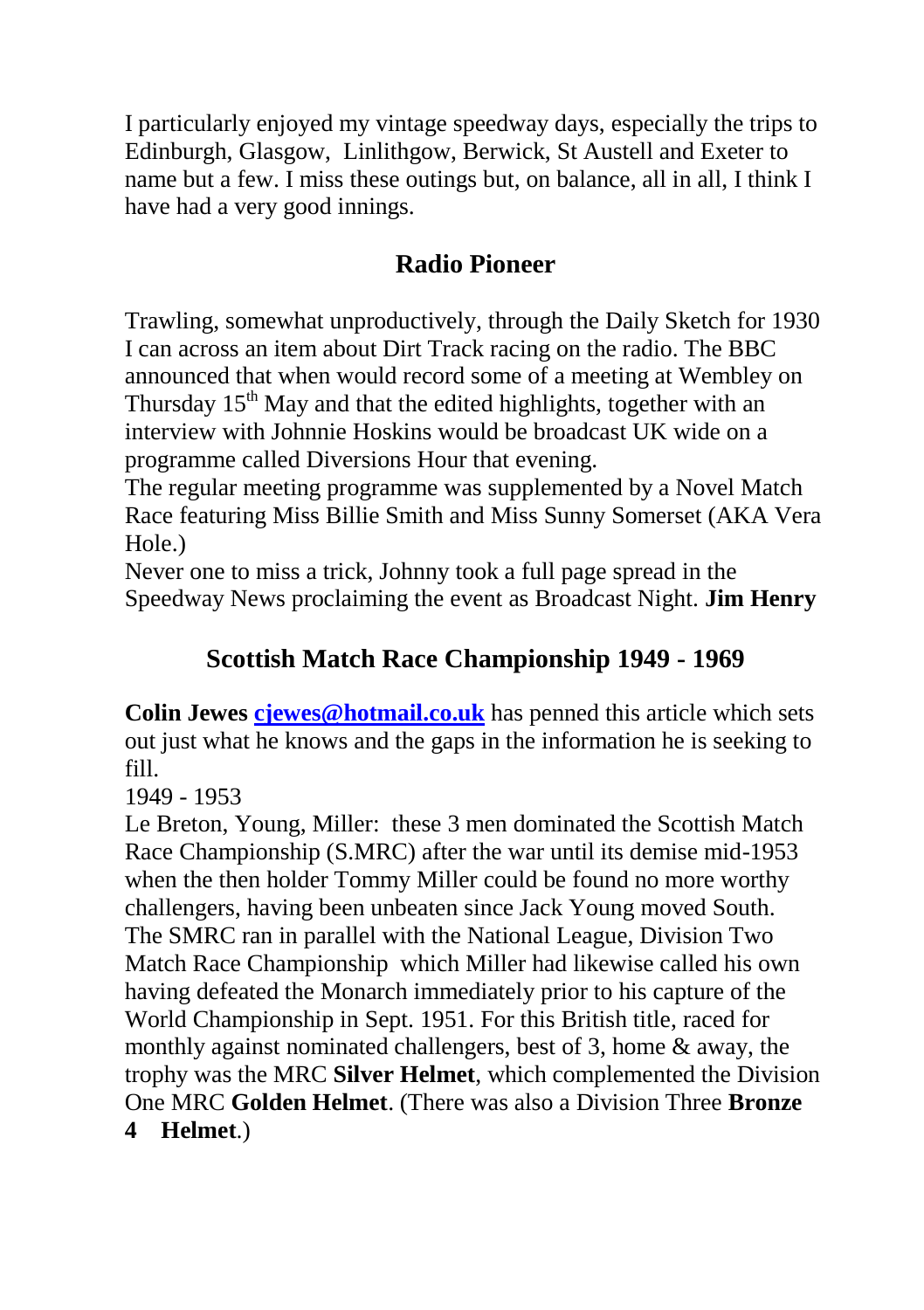I particularly enjoyed my vintage speedway days, especially the trips to Edinburgh, Glasgow, Linlithgow, Berwick, St Austell and Exeter to name but a few. I miss these outings but, on balance, all in all, I think I have had a very good innings.

## **Radio Pioneer**

Trawling, somewhat unproductively, through the Daily Sketch for 1930 I can across an item about Dirt Track racing on the radio. The BBC announced that when would record some of a meeting at Wembley on Thursday  $15<sup>th</sup>$  May and that the edited highlights, together with an interview with Johnnie Hoskins would be broadcast UK wide on a programme called Diversions Hour that evening.

The regular meeting programme was supplemented by a Novel Match Race featuring Miss Billie Smith and Miss Sunny Somerset (AKA Vera Hole.)

Never one to miss a trick, Johnny took a full page spread in the Speedway News proclaiming the event as Broadcast Night. **Jim Henry**

## **Scottish Match Race Championship 1949 - 1969**

**Colin Jewes [cjewes@hotmail.co.uk](mailto:cjewes@hotmail.co.uk)** has penned this article which sets out just what he knows and the gaps in the information he is seeking to fill.

1949 - 1953

Le Breton, Young, Miller: these 3 men dominated the Scottish Match Race Championship (S.MRC) after the war until its demise mid-1953 when the then holder Tommy Miller could be found no more worthy challengers, having been unbeaten since Jack Young moved South. The SMRC ran in parallel with the National League, Division Two Match Race Championship which Miller had likewise called his own having defeated the Monarch immediately prior to his capture of the World Championship in Sept. 1951. For this British title, raced for monthly against nominated challengers, best of 3, home & away, the trophy was the MRC **Silver Helmet**, which complemented the Division One MRC **Golden Helmet**. (There was also a Division Three **Bronze 4 Helmet**.)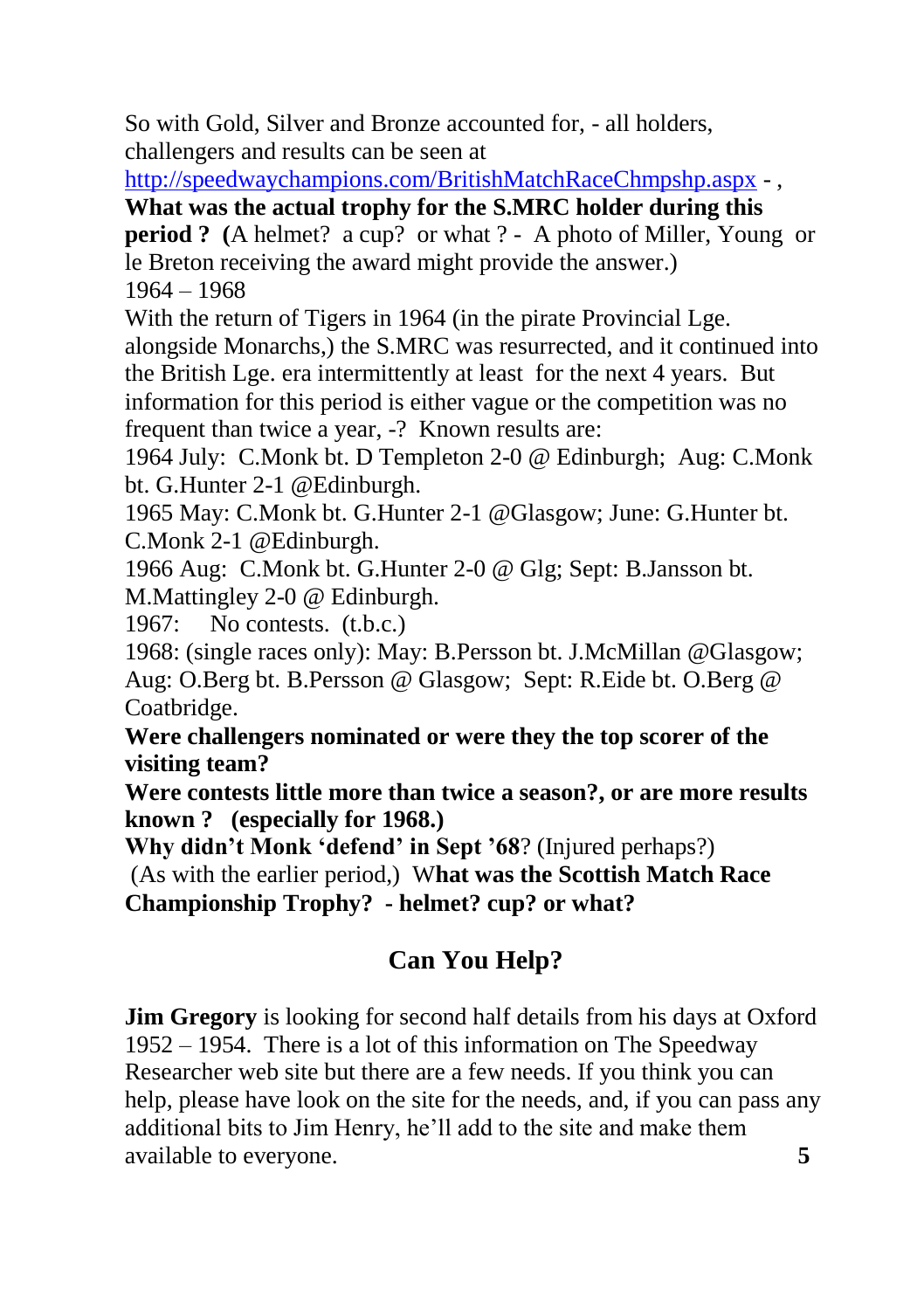So with Gold, Silver and Bronze accounted for, - all holders, challengers and results can be seen at

<http://speedwaychampions.com/BritishMatchRaceChmpshp.aspx> - ,

**What was the actual trophy for the S.MRC holder during this** 

**period ?** (A helmet? a cup? or what ? - A photo of Miller, Young or le Breton receiving the award might provide the answer.) 1964 – 1968

With the return of Tigers in 1964 (in the pirate Provincial Lge.

alongside Monarchs,) the S.MRC was resurrected, and it continued into the British Lge. era intermittently at least for the next 4 years. But information for this period is either vague or the competition was no frequent than twice a year, -? Known results are:

1964 July: C.Monk bt. D Templeton 2-0 @ Edinburgh; Aug: C.Monk bt. G.Hunter 2-1 @Edinburgh.

1965 May: C.Monk bt. G.Hunter 2-1 @Glasgow; June: G.Hunter bt. C.Monk 2-1 @Edinburgh.

1966 Aug: C.Monk bt. G.Hunter 2-0 @ Glg; Sept: B.Jansson bt. M.Mattingley 2-0 @ Edinburgh.

1967: No contests. (t.b.c.)

1968: (single races only): May: B.Persson bt. J.McMillan @Glasgow; Aug: O.Berg bt. B.Persson @ Glasgow; Sept: R.Eide bt. O.Berg @ Coatbridge.

**Were challengers nominated or were they the top scorer of the visiting team?**

**Were contests little more than twice a season?, or are more results known ? (especially for 1968.)**

**Why didn't Monk 'defend' in Sept '68**? (Injured perhaps?) (As with the earlier period,) W**hat was the Scottish Match Race Championship Trophy? - helmet? cup? or what?**

# **Can You Help?**

**Jim Gregory** is looking for second half details from his days at Oxford 1952 – 1954. There is a lot of this information on The Speedway Researcher web site but there are a few needs. If you think you can help, please have look on the site for the needs, and, if you can pass any additional bits to Jim Henry, he'll add to the site and make them available to everyone. **5**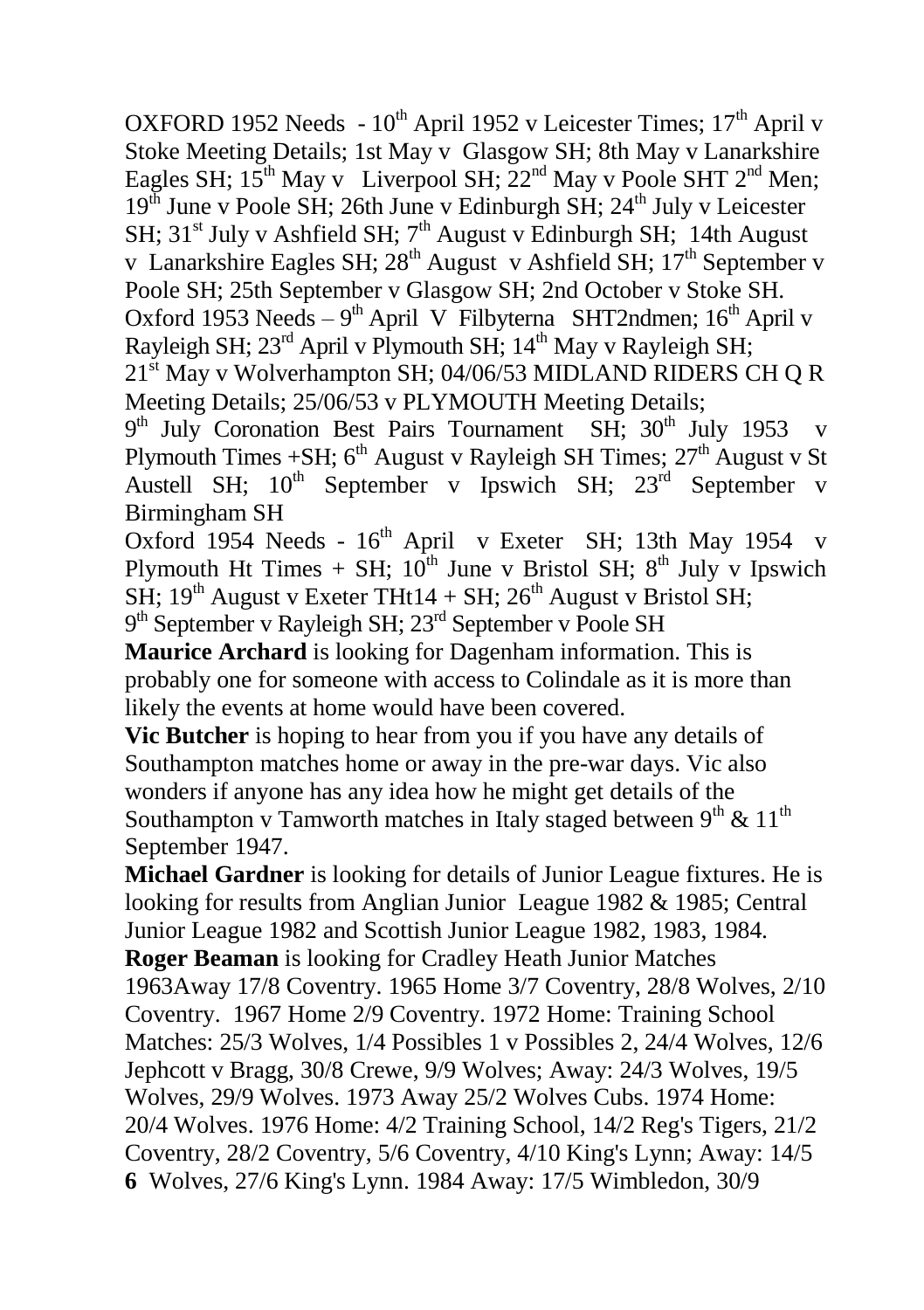OXFORD 1952 Needs - 10<sup>th</sup> April 1952 v Leicester Times; 17<sup>th</sup> April v Stoke Meeting Details: 1st May v Glasgow SH; 8th May v Lanarkshire Eagles SH;  $15^{th}$  May v Liverpool SH;  $22^{nd}$  May v Poole SHT  $2^{nd}$  Men;  $19<sup>th</sup>$  June v Poole SH; 26th June v Edinburgh SH; 24<sup>th</sup> July v Leicester SH;  $31<sup>st</sup>$  July v Ashfield SH;  $7<sup>th</sup>$  August v Edinburgh SH; 14th August v Lanarkshire Eagles SH;  $28<sup>th</sup>$  August v Ashfield SH;  $17<sup>th</sup>$  September v Poole SH; 25th September v Glasgow SH; 2nd October v Stoke SH. Oxford 1953 Needs - 9<sup>th</sup> April V Filbyterna SHT2ndmen; 16<sup>th</sup> April v Rayleigh SH;  $23<sup>rd</sup>$  April v Plymouth SH;  $14<sup>th</sup>$  May v Rayleigh SH;

21<sup>st</sup> May v Wolverhampton SH; 04/06/53 MIDLAND RIDERS CH Q R Meeting Details;  $25/06/53$  v PLYMOUTH Meeting Details;

9<sup>th</sup> July Coronation Best Pairs Tournament SH; 30<sup>th</sup> July 1953 v Plymouth Times +SH; 6<sup>th</sup> August v Rayleigh SH Times; 27<sup>th</sup> August v St Austell SH;  $10^{th}$  September v Ipswich SH;  $23^{rd}$  September v Birmingham SH

Oxford 1954 Needs - 16<sup>th</sup> April v Exeter SH; 13th May 1954 v Plymouth Ht Times + SH;  $10^{th}$  June v Bristol SH;  $8^{th}$  July v Ipswich SH;  $19<sup>th</sup>$  August v Exeter THt14 + SH;  $26<sup>th</sup>$  August v Bristol SH; 9<sup>th</sup> September v Rayleigh SH; 23<sup>rd</sup> September v Poole SH

**Maurice Archard** is looking for Dagenham information. This is probably one for someone with access to Colindale as it is more than likely the events at home would have been covered.

**Vic Butcher** is hoping to hear from you if you have any details of Southampton matches home or away in the pre-war days. Vic also wonders if anyone has any idea how he might get details of the Southampton v Tamworth matches in Italy staged between  $9<sup>th</sup>$  &  $11<sup>th</sup>$ September 1947.

**Michael Gardner** is looking for details of Junior League fixtures. He is looking for results from Anglian Junior League 1982 & 1985; Central Junior League 1982 and Scottish Junior League 1982, 1983, 1984. **Roger Beaman** is looking for Cradley Heath Junior Matches 1963Away 17/8 Coventry. 1965 Home 3/7 Coventry, 28/8 Wolves, 2/10 Coventry. 1967 Home 2/9 Coventry. 1972 Home: Training School Matches: 25/3 Wolves, 1/4 Possibles 1 v Possibles 2, 24/4 Wolves, 12/6 Jephcott v Bragg, 30/8 Crewe, 9/9 Wolves; Away: 24/3 Wolves, 19/5 Wolves, 29/9 Wolves. 1973 Away 25/2 Wolves Cubs. 1974 Home: 20/4 Wolves. 1976 Home: 4/2 Training School, 14/2 Reg's Tigers, 21/2 Coventry, 28/2 Coventry, 5/6 Coventry, 4/10 King's Lynn; Away: 14/5 **6** Wolves, 27/6 King's Lynn. 1984 Away: 17/5 Wimbledon, 30/9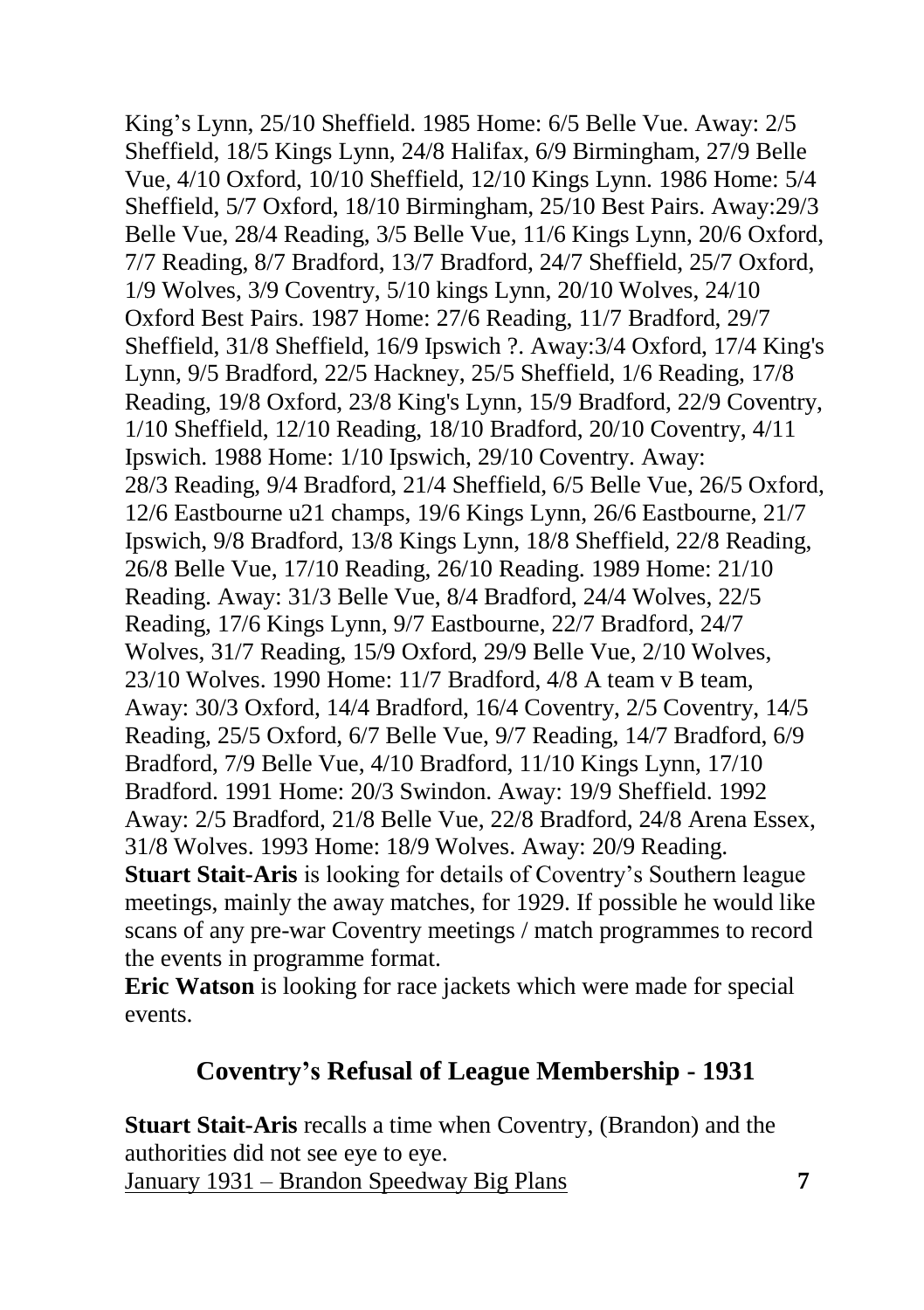King's Lynn, 25/10 Sheffield. 1985 Home: 6/5 Belle Vue. Away: 2/5 Sheffield, 18/5 Kings Lynn, 24/8 Halifax, 6/9 Birmingham, 27/9 Belle Vue, 4/10 Oxford, 10/10 Sheffield, 12/10 Kings Lynn. 1986 Home: 5/4 Sheffield, 5/7 Oxford, 18/10 Birmingham, 25/10 Best Pairs. Away:29/3 Belle Vue, 28/4 Reading, 3/5 Belle Vue, 11/6 Kings Lynn, 20/6 Oxford, 7/7 Reading, 8/7 Bradford, 13/7 Bradford, 24/7 Sheffield, 25/7 Oxford, 1/9 Wolves, 3/9 Coventry, 5/10 kings Lynn, 20/10 Wolves, 24/10 Oxford Best Pairs. 1987 Home: 27/6 Reading, 11/7 Bradford, 29/7 Sheffield, 31/8 Sheffield, 16/9 Ipswich ?. Away:3/4 Oxford, 17/4 King's Lynn, 9/5 Bradford, 22/5 Hackney, 25/5 Sheffield, 1/6 Reading, 17/8 Reading, 19/8 Oxford, 23/8 King's Lynn, 15/9 Bradford, 22/9 Coventry, 1/10 Sheffield, 12/10 Reading, 18/10 Bradford, 20/10 Coventry, 4/11 Ipswich. 1988 Home: 1/10 Ipswich, 29/10 Coventry. Away: 28/3 Reading, 9/4 Bradford, 21/4 Sheffield, 6/5 Belle Vue, 26/5 Oxford, 12/6 Eastbourne u21 champs, 19/6 Kings Lynn, 26/6 Eastbourne, 21/7 Ipswich, 9/8 Bradford, 13/8 Kings Lynn, 18/8 Sheffield, 22/8 Reading, 26/8 Belle Vue, 17/10 Reading, 26/10 Reading. 1989 Home: 21/10 Reading. Away: 31/3 Belle Vue, 8/4 Bradford, 24/4 Wolves, 22/5 Reading, 17/6 Kings Lynn, 9/7 Eastbourne, 22/7 Bradford, 24/7 Wolves, 31/7 Reading, 15/9 Oxford, 29/9 Belle Vue, 2/10 Wolves, 23/10 Wolves. 1990 Home: 11/7 Bradford, 4/8 A team v B team, Away: 30/3 Oxford, 14/4 Bradford, 16/4 Coventry, 2/5 Coventry, 14/5 Reading, 25/5 Oxford, 6/7 Belle Vue, 9/7 Reading, 14/7 Bradford, 6/9 Bradford, 7/9 Belle Vue, 4/10 Bradford, 11/10 Kings Lynn, 17/10 Bradford. 1991 Home: 20/3 Swindon. Away: 19/9 Sheffield. 1992 Away: 2/5 Bradford, 21/8 Belle Vue, 22/8 Bradford, 24/8 Arena Essex, 31/8 Wolves. 1993 Home: 18/9 Wolves. Away: 20/9 Reading. **Stuart Stait-Aris** is looking for details of Coventry's Southern league meetings, mainly the away matches, for 1929. If possible he would like scans of any pre-war Coventry meetings / match programmes to record the events in programme format.

**Eric Watson** is looking for race jackets which were made for special events.

### **Coventry's Refusal of League Membership - 1931**

**Stuart Stait-Aris** recalls a time when Coventry, (Brandon) and the authorities did not see eye to eye. January 1931 – Brandon Speedway Big Plans **7**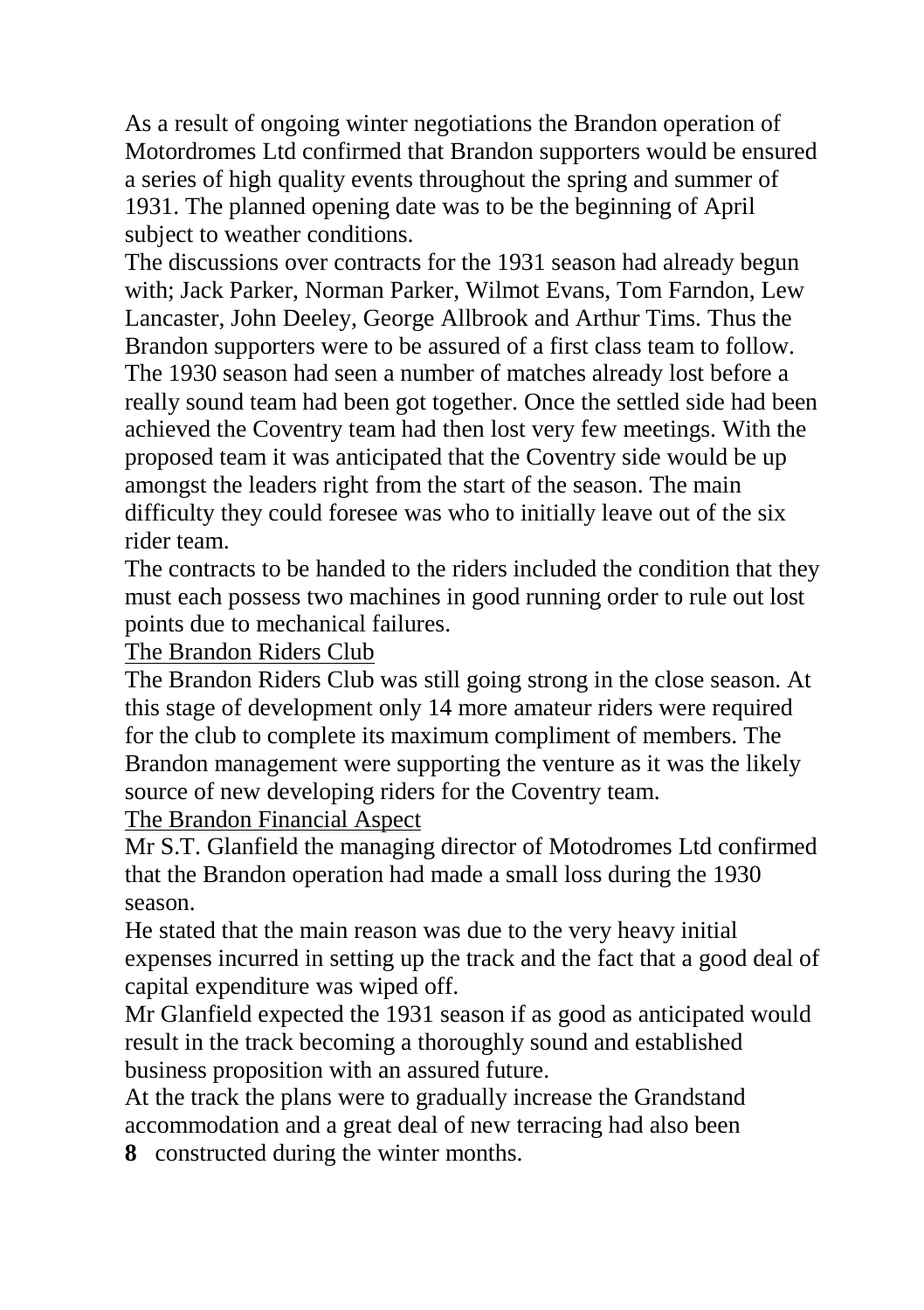As a result of ongoing winter negotiations the Brandon operation of Motordromes Ltd confirmed that Brandon supporters would be ensured a series of high quality events throughout the spring and summer of 1931. The planned opening date was to be the beginning of April subject to weather conditions.

The discussions over contracts for the 1931 season had already begun with; Jack Parker, Norman Parker, Wilmot Evans, Tom Farndon, Lew Lancaster, John Deeley, George Allbrook and Arthur Tims. Thus the Brandon supporters were to be assured of a first class team to follow. The 1930 season had seen a number of matches already lost before a really sound team had been got together. Once the settled side had been achieved the Coventry team had then lost very few meetings. With the proposed team it was anticipated that the Coventry side would be up amongst the leaders right from the start of the season. The main difficulty they could foresee was who to initially leave out of the six rider team.

The contracts to be handed to the riders included the condition that they must each possess two machines in good running order to rule out lost points due to mechanical failures.

The Brandon Riders Club

The Brandon Riders Club was still going strong in the close season. At this stage of development only 14 more amateur riders were required for the club to complete its maximum compliment of members. The Brandon management were supporting the venture as it was the likely source of new developing riders for the Coventry team.

The Brandon Financial Aspect

Mr S.T. Glanfield the managing director of Motodromes Ltd confirmed that the Brandon operation had made a small loss during the 1930 season.

He stated that the main reason was due to the very heavy initial expenses incurred in setting up the track and the fact that a good deal of capital expenditure was wiped off.

Mr Glanfield expected the 1931 season if as good as anticipated would result in the track becoming a thoroughly sound and established business proposition with an assured future.

At the track the plans were to gradually increase the Grandstand accommodation and a great deal of new terracing had also been

**8** constructed during the winter months.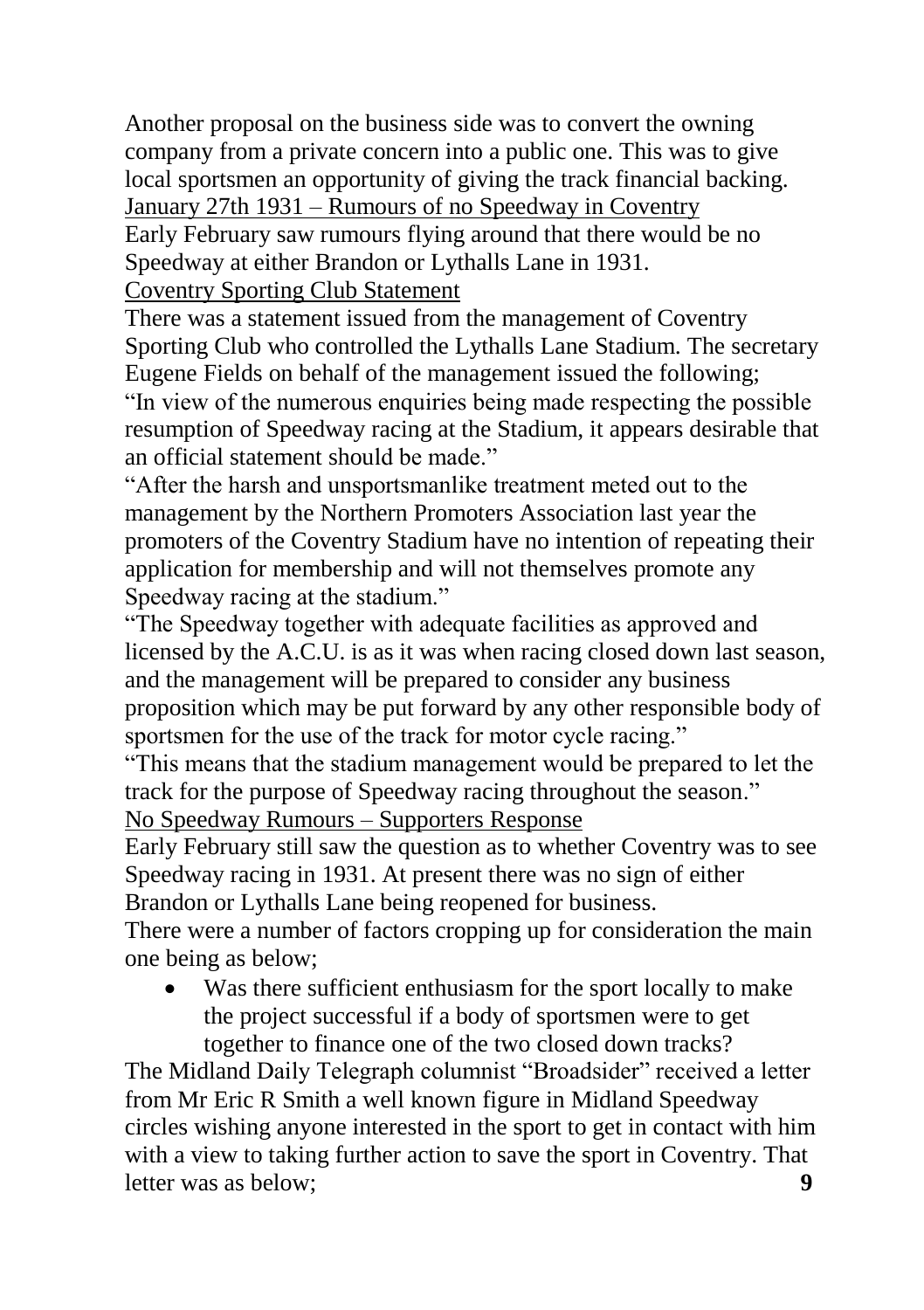Another proposal on the business side was to convert the owning company from a private concern into a public one. This was to give local sportsmen an opportunity of giving the track financial backing. January 27th 1931 – Rumours of no Speedway in Coventry

Early February saw rumours flying around that there would be no Speedway at either Brandon or Lythalls Lane in 1931.

Coventry Sporting Club Statement

There was a statement issued from the management of Coventry Sporting Club who controlled the Lythalls Lane Stadium. The secretary Eugene Fields on behalf of the management issued the following; "In view of the numerous enquiries being made respecting the possible resumption of Speedway racing at the Stadium, it appears desirable that an official statement should be made."

"After the harsh and unsportsmanlike treatment meted out to the management by the Northern Promoters Association last year the promoters of the Coventry Stadium have no intention of repeating their application for membership and will not themselves promote any Speedway racing at the stadium."

"The Speedway together with adequate facilities as approved and licensed by the A.C.U. is as it was when racing closed down last season, and the management will be prepared to consider any business proposition which may be put forward by any other responsible body of sportsmen for the use of the track for motor cycle racing."

"This means that the stadium management would be prepared to let the track for the purpose of Speedway racing throughout the season." No Speedway Rumours – Supporters Response

Early February still saw the question as to whether Coventry was to see Speedway racing in 1931. At present there was no sign of either Brandon or Lythalls Lane being reopened for business.

There were a number of factors cropping up for consideration the main one being as below;

 Was there sufficient enthusiasm for the sport locally to make the project successful if a body of sportsmen were to get together to finance one of the two closed down tracks?

The Midland Daily Telegraph columnist "Broadsider" received a letter from Mr Eric R Smith a well known figure in Midland Speedway circles wishing anyone interested in the sport to get in contact with him with a view to taking further action to save the sport in Coventry. That letter was as below: **9**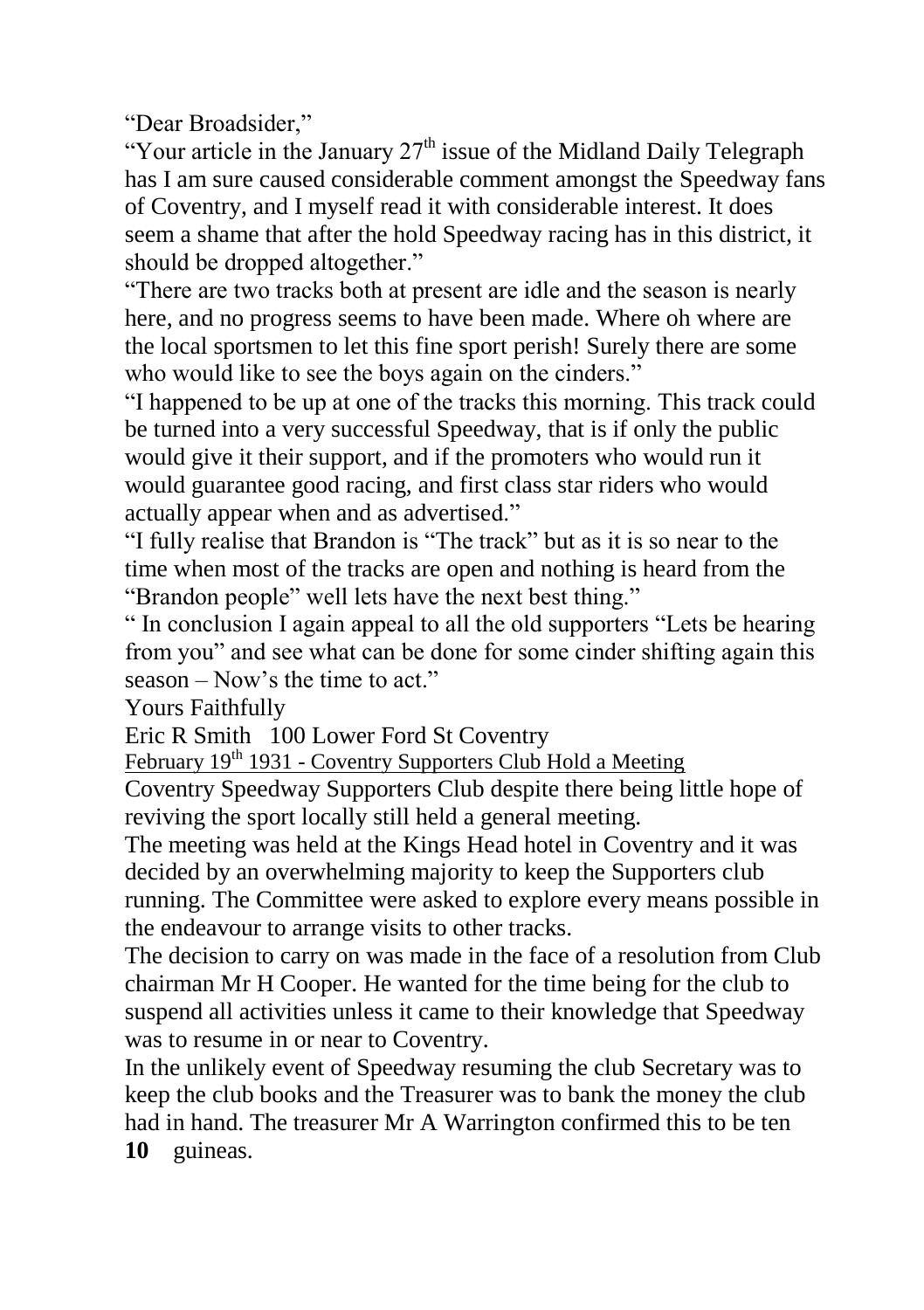"Dear Broadsider,"

"Your article in the January  $27<sup>th</sup>$  issue of the Midland Daily Telegraph has I am sure caused considerable comment amongst the Speedway fans of Coventry, and I myself read it with considerable interest. It does seem a shame that after the hold Speedway racing has in this district, it should be dropped altogether."

"There are two tracks both at present are idle and the season is nearly here, and no progress seems to have been made. Where oh where are the local sportsmen to let this fine sport perish! Surely there are some who would like to see the boys again on the cinders."

"I happened to be up at one of the tracks this morning. This track could be turned into a very successful Speedway, that is if only the public would give it their support, and if the promoters who would run it would guarantee good racing, and first class star riders who would actually appear when and as advertised."

"I fully realise that Brandon is "The track" but as it is so near to the time when most of the tracks are open and nothing is heard from the "Brandon people" well lets have the next best thing."

" In conclusion I again appeal to all the old supporters "Lets be hearing from you" and see what can be done for some cinder shifting again this season – Now's the time to act."

Yours Faithfully

Eric R Smith 100 Lower Ford St Coventry

February 19<sup>th</sup> 1931 - Coventry Supporters Club Hold a Meeting

Coventry Speedway Supporters Club despite there being little hope of reviving the sport locally still held a general meeting.

The meeting was held at the Kings Head hotel in Coventry and it was decided by an overwhelming majority to keep the Supporters club running. The Committee were asked to explore every means possible in the endeavour to arrange visits to other tracks.

The decision to carry on was made in the face of a resolution from Club chairman Mr H Cooper. He wanted for the time being for the club to suspend all activities unless it came to their knowledge that Speedway was to resume in or near to Coventry.

In the unlikely event of Speedway resuming the club Secretary was to keep the club books and the Treasurer was to bank the money the club had in hand. The treasurer Mr A Warrington confirmed this to be ten **10** guineas.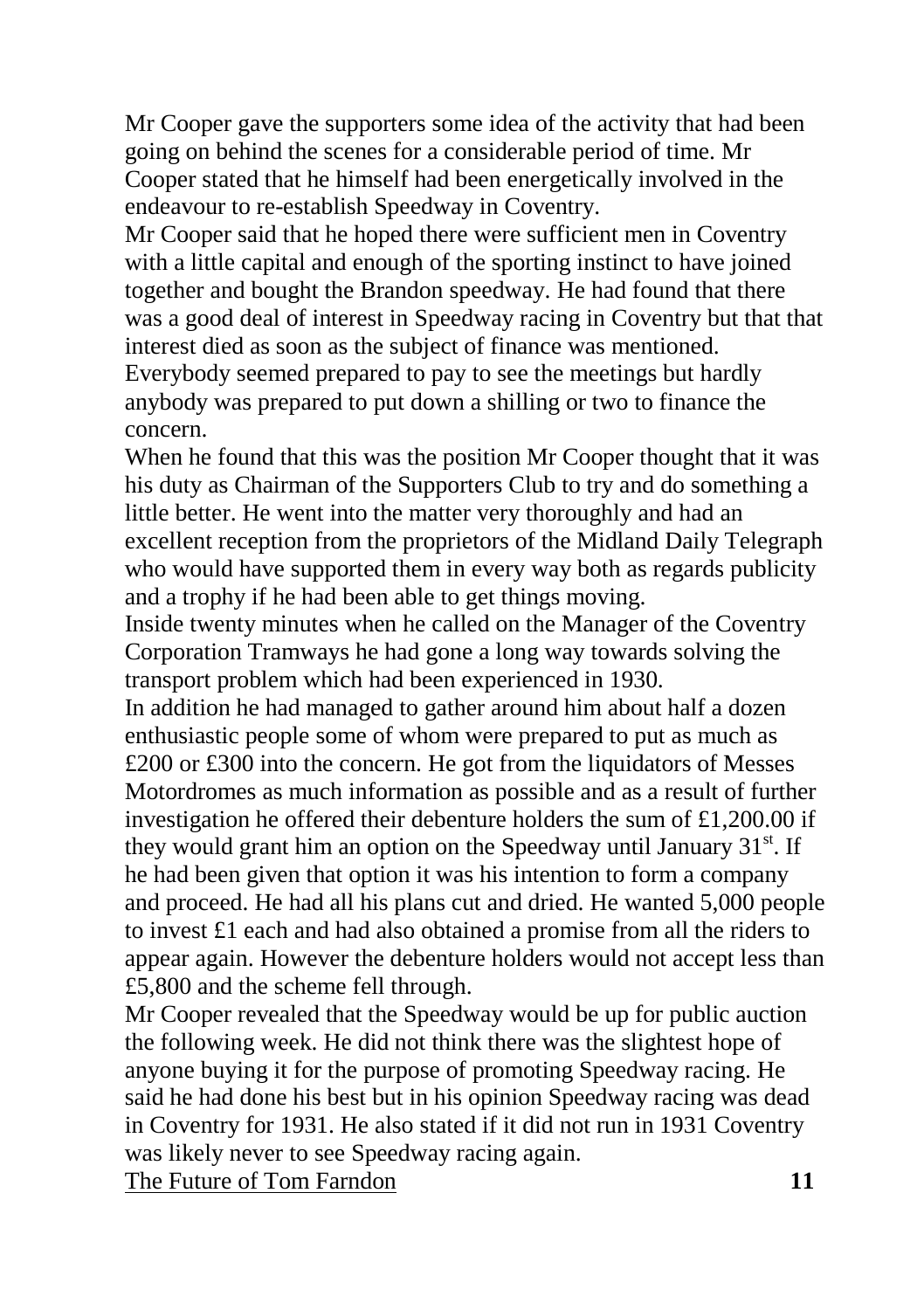Mr Cooper gave the supporters some idea of the activity that had been going on behind the scenes for a considerable period of time. Mr Cooper stated that he himself had been energetically involved in the endeavour to re-establish Speedway in Coventry.

Mr Cooper said that he hoped there were sufficient men in Coventry with a little capital and enough of the sporting instinct to have joined together and bought the Brandon speedway. He had found that there was a good deal of interest in Speedway racing in Coventry but that that interest died as soon as the subject of finance was mentioned. Everybody seemed prepared to pay to see the meetings but hardly anybody was prepared to put down a shilling or two to finance the concern.

When he found that this was the position Mr Cooper thought that it was his duty as Chairman of the Supporters Club to try and do something a little better. He went into the matter very thoroughly and had an excellent reception from the proprietors of the Midland Daily Telegraph who would have supported them in every way both as regards publicity and a trophy if he had been able to get things moving.

Inside twenty minutes when he called on the Manager of the Coventry Corporation Tramways he had gone a long way towards solving the transport problem which had been experienced in 1930.

In addition he had managed to gather around him about half a dozen enthusiastic people some of whom were prepared to put as much as £200 or £300 into the concern. He got from the liquidators of Messes Motordromes as much information as possible and as a result of further investigation he offered their debenture holders the sum of £1,200.00 if they would grant him an option on the Speedway until January  $31<sup>st</sup>$ . If he had been given that option it was his intention to form a company and proceed. He had all his plans cut and dried. He wanted 5,000 people to invest £1 each and had also obtained a promise from all the riders to appear again. However the debenture holders would not accept less than £5,800 and the scheme fell through.

Mr Cooper revealed that the Speedway would be up for public auction the following week. He did not think there was the slightest hope of anyone buying it for the purpose of promoting Speedway racing. He said he had done his best but in his opinion Speedway racing was dead in Coventry for 1931. He also stated if it did not run in 1931 Coventry was likely never to see Speedway racing again. The Future of Tom Farndon **11**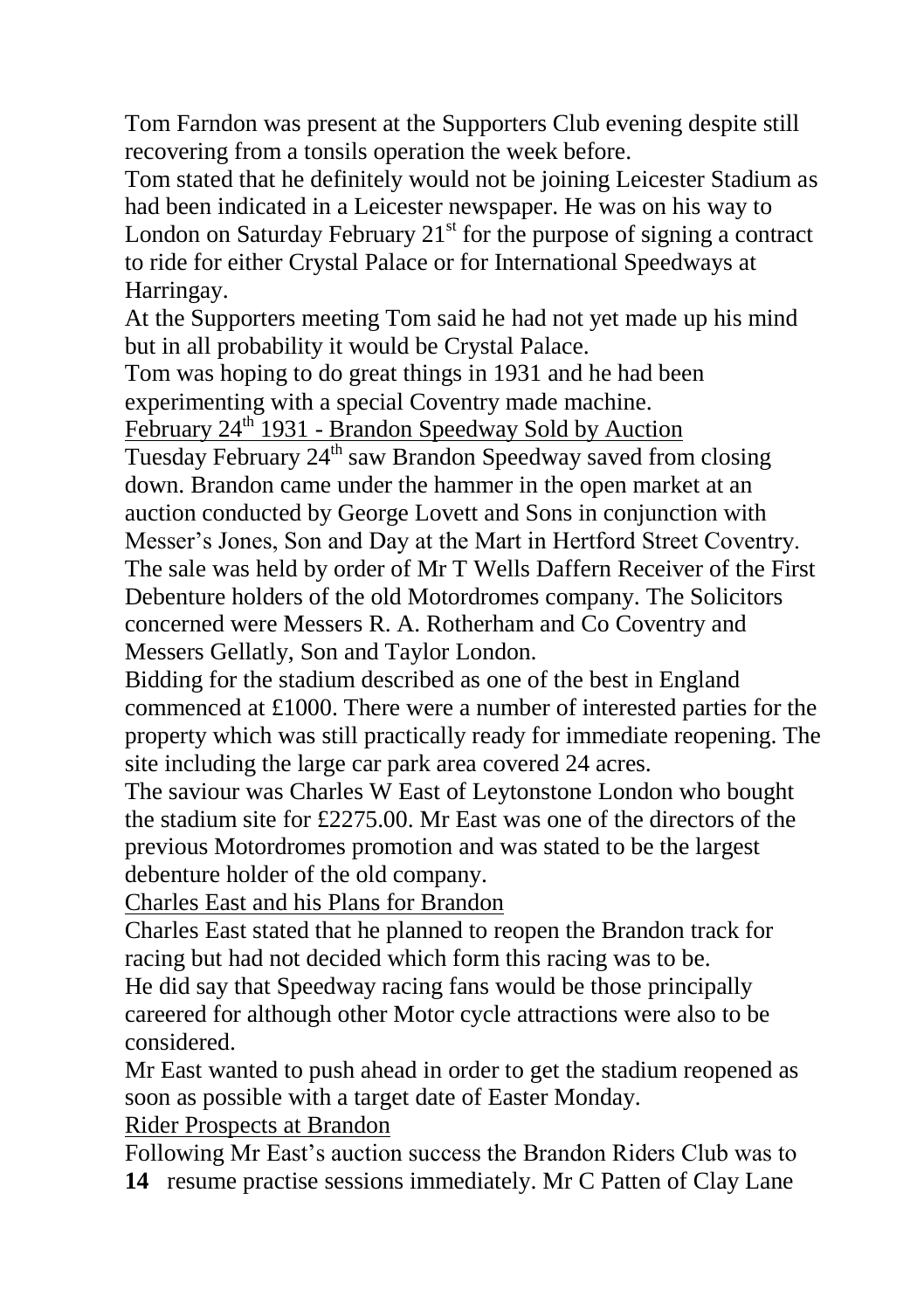Tom Farndon was present at the Supporters Club evening despite still recovering from a tonsils operation the week before.

Tom stated that he definitely would not be joining Leicester Stadium as had been indicated in a Leicester newspaper. He was on his way to London on Saturday February  $21<sup>st</sup>$  for the purpose of signing a contract to ride for either Crystal Palace or for International Speedways at Harringay.

At the Supporters meeting Tom said he had not yet made up his mind but in all probability it would be Crystal Palace.

Tom was hoping to do great things in 1931 and he had been experimenting with a special Coventry made machine.

February 24<sup>th</sup> 1931 - Brandon Speedway Sold by Auction

Tuesday February 24<sup>th</sup> saw Brandon Speedway saved from closing down. Brandon came under the hammer in the open market at an auction conducted by George Lovett and Sons in conjunction with Messer's Jones, Son and Day at the Mart in Hertford Street Coventry. The sale was held by order of Mr T Wells Daffern Receiver of the First Debenture holders of the old Motordromes company. The Solicitors concerned were Messers R. A. Rotherham and Co Coventry and Messers Gellatly, Son and Taylor London.

Bidding for the stadium described as one of the best in England commenced at £1000. There were a number of interested parties for the property which was still practically ready for immediate reopening. The site including the large car park area covered 24 acres.

The saviour was Charles W East of Leytonstone London who bought the stadium site for £2275.00. Mr East was one of the directors of the previous Motordromes promotion and was stated to be the largest debenture holder of the old company.

Charles East and his Plans for Brandon

Charles East stated that he planned to reopen the Brandon track for racing but had not decided which form this racing was to be.

He did say that Speedway racing fans would be those principally careered for although other Motor cycle attractions were also to be considered.

Mr East wanted to push ahead in order to get the stadium reopened as soon as possible with a target date of Easter Monday.

#### Rider Prospects at Brandon

Following Mr East's auction success the Brandon Riders Club was to **14** resume practise sessions immediately. Mr C Patten of Clay Lane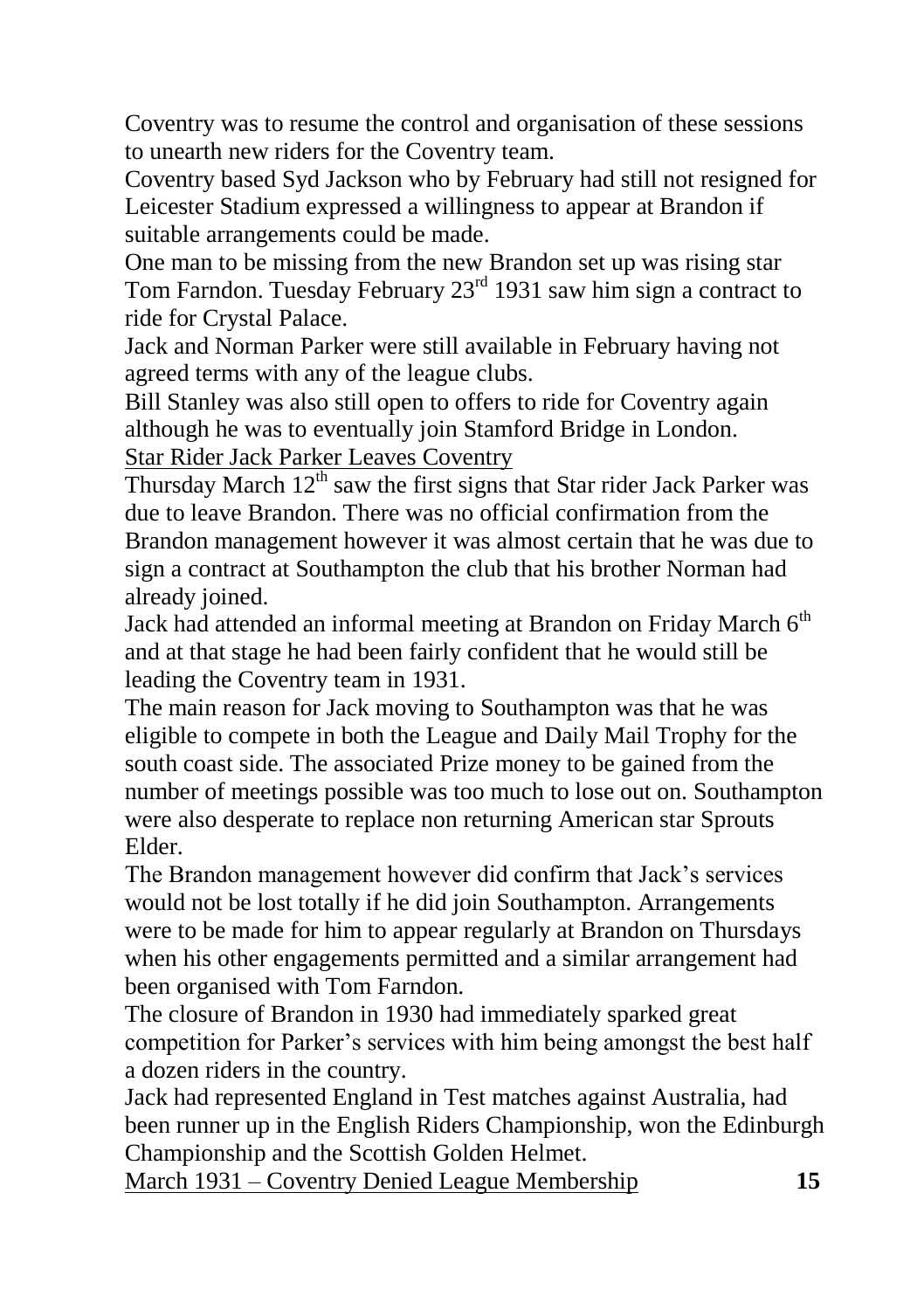Coventry was to resume the control and organisation of these sessions to unearth new riders for the Coventry team.

Coventry based Syd Jackson who by February had still not resigned for Leicester Stadium expressed a willingness to appear at Brandon if suitable arrangements could be made.

One man to be missing from the new Brandon set up was rising star Tom Farndon. Tuesday February 23<sup>rd</sup> 1931 saw him sign a contract to ride for Crystal Palace.

Jack and Norman Parker were still available in February having not agreed terms with any of the league clubs.

Bill Stanley was also still open to offers to ride for Coventry again although he was to eventually join Stamford Bridge in London. Star Rider Jack Parker Leaves Coventry

Thursday March  $12<sup>th</sup>$  saw the first signs that Star rider Jack Parker was due to leave Brandon. There was no official confirmation from the Brandon management however it was almost certain that he was due to sign a contract at Southampton the club that his brother Norman had already joined.

Jack had attended an informal meeting at Brandon on Friday March  $6<sup>th</sup>$ and at that stage he had been fairly confident that he would still be leading the Coventry team in 1931.

The main reason for Jack moving to Southampton was that he was eligible to compete in both the League and Daily Mail Trophy for the south coast side. The associated Prize money to be gained from the number of meetings possible was too much to lose out on. Southampton were also desperate to replace non returning American star Sprouts Elder.

The Brandon management however did confirm that Jack's services would not be lost totally if he did join Southampton. Arrangements were to be made for him to appear regularly at Brandon on Thursdays when his other engagements permitted and a similar arrangement had been organised with Tom Farndon.

The closure of Brandon in 1930 had immediately sparked great competition for Parker's services with him being amongst the best half a dozen riders in the country.

Jack had represented England in Test matches against Australia, had been runner up in the English Riders Championship, won the Edinburgh Championship and the Scottish Golden Helmet.

March 1931 – Coventry Denied League Membership **15**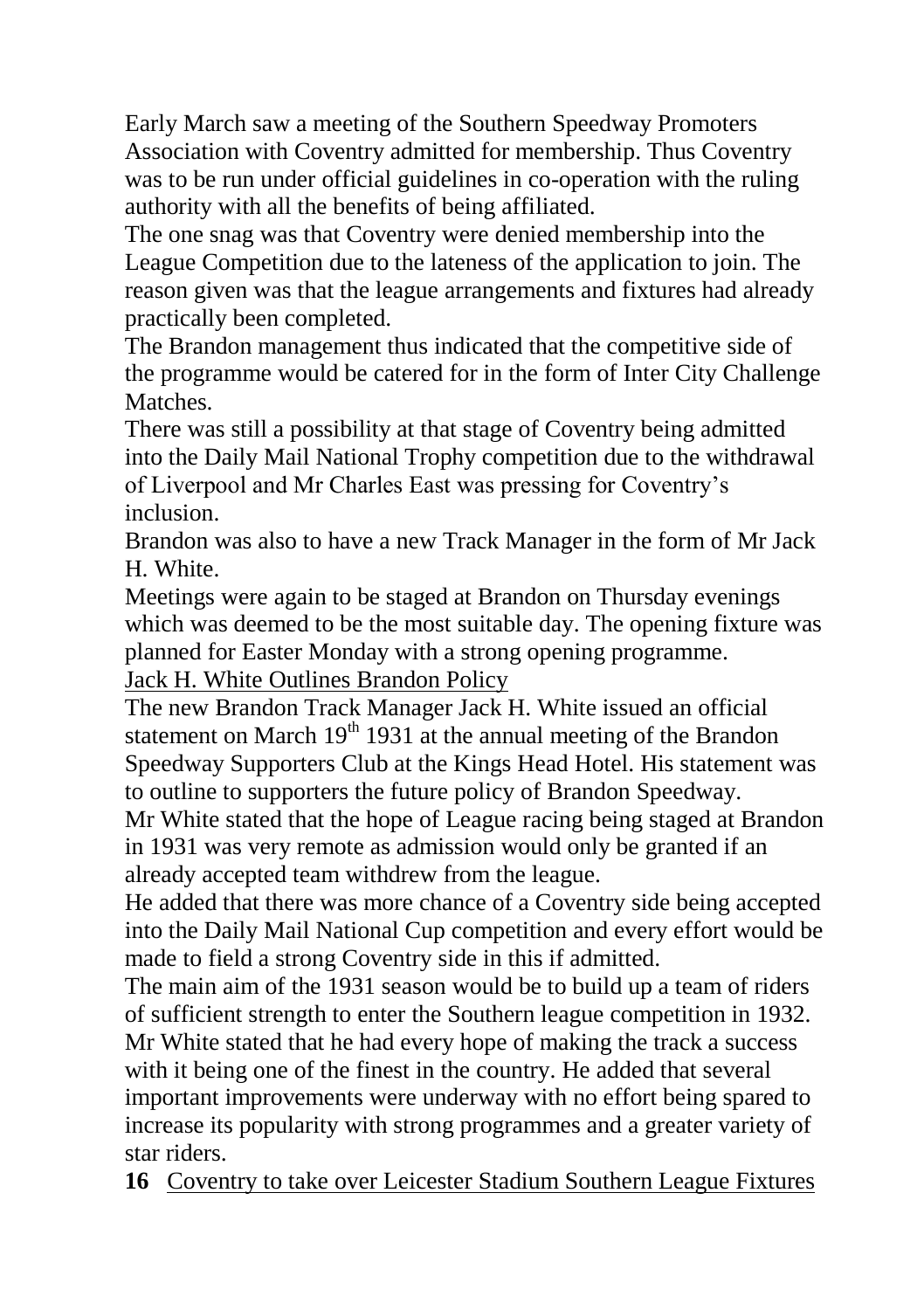Early March saw a meeting of the Southern Speedway Promoters Association with Coventry admitted for membership. Thus Coventry was to be run under official guidelines in co-operation with the ruling authority with all the benefits of being affiliated.

The one snag was that Coventry were denied membership into the League Competition due to the lateness of the application to join. The reason given was that the league arrangements and fixtures had already practically been completed.

The Brandon management thus indicated that the competitive side of the programme would be catered for in the form of Inter City Challenge Matches.

There was still a possibility at that stage of Coventry being admitted into the Daily Mail National Trophy competition due to the withdrawal of Liverpool and Mr Charles East was pressing for Coventry's inclusion.

Brandon was also to have a new Track Manager in the form of Mr Jack H. White.

Meetings were again to be staged at Brandon on Thursday evenings which was deemed to be the most suitable day. The opening fixture was planned for Easter Monday with a strong opening programme. Jack H. White Outlines Brandon Policy

The new Brandon Track Manager Jack H. White issued an official statement on March  $19<sup>th</sup> 1931$  at the annual meeting of the Brandon Speedway Supporters Club at the Kings Head Hotel. His statement was to outline to supporters the future policy of Brandon Speedway.

Mr White stated that the hope of League racing being staged at Brandon in 1931 was very remote as admission would only be granted if an already accepted team withdrew from the league.

He added that there was more chance of a Coventry side being accepted into the Daily Mail National Cup competition and every effort would be made to field a strong Coventry side in this if admitted.

The main aim of the 1931 season would be to build up a team of riders of sufficient strength to enter the Southern league competition in 1932. Mr White stated that he had every hope of making the track a success with it being one of the finest in the country. He added that several important improvements were underway with no effort being spared to increase its popularity with strong programmes and a greater variety of star riders.

**16** Coventry to take over Leicester Stadium Southern League Fixtures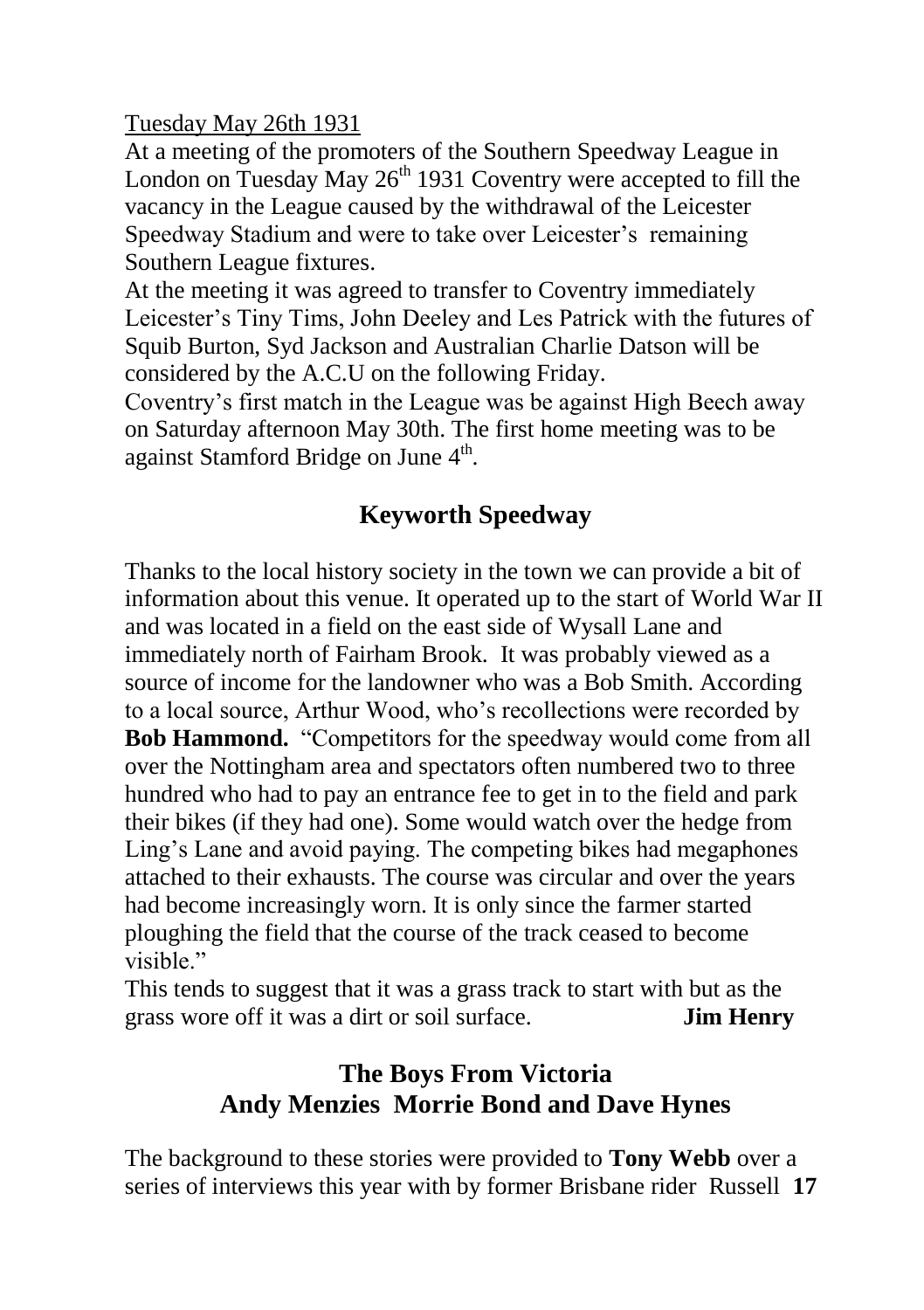Tuesday May 26th 1931

At a meeting of the promoters of the Southern Speedway League in London on Tuesday May  $26<sup>th</sup>$  1931 Coventry were accepted to fill the vacancy in the League caused by the withdrawal of the Leicester Speedway Stadium and were to take over Leicester's remaining Southern League fixtures.

At the meeting it was agreed to transfer to Coventry immediately Leicester's Tiny Tims, John Deeley and Les Patrick with the futures of Squib Burton, Syd Jackson and Australian Charlie Datson will be considered by the A.C.U on the following Friday.

Coventry's first match in the League was be against High Beech away on Saturday afternoon May 30th. The first home meeting was to be against Stamford Bridge on June 4<sup>th</sup>.

# **Keyworth Speedway**

Thanks to the local history society in the town we can provide a bit of information about this venue. It operated up to the start of World War II and was located in a field on the east side of Wysall Lane and immediately north of Fairham Brook. It was probably viewed as a source of income for the landowner who was a Bob Smith. According to a local source, Arthur Wood, who's recollections were recorded by **Bob Hammond.** "Competitors for the speedway would come from all over the Nottingham area and spectators often numbered two to three hundred who had to pay an entrance fee to get in to the field and park their bikes (if they had one). Some would watch over the hedge from Ling's Lane and avoid paying. The competing bikes had megaphones attached to their exhausts. The course was circular and over the years had become increasingly worn. It is only since the farmer started ploughing the field that the course of the track ceased to become visible."

This tends to suggest that it was a grass track to start with but as the grass wore off it was a dirt or soil surface. **Jim Henry**

# **The Boys From Victoria Andy Menzies Morrie Bond and Dave Hynes**

The background to these stories were provided to **Tony Webb** over a series of interviews this year with by former Brisbane rider Russell **17**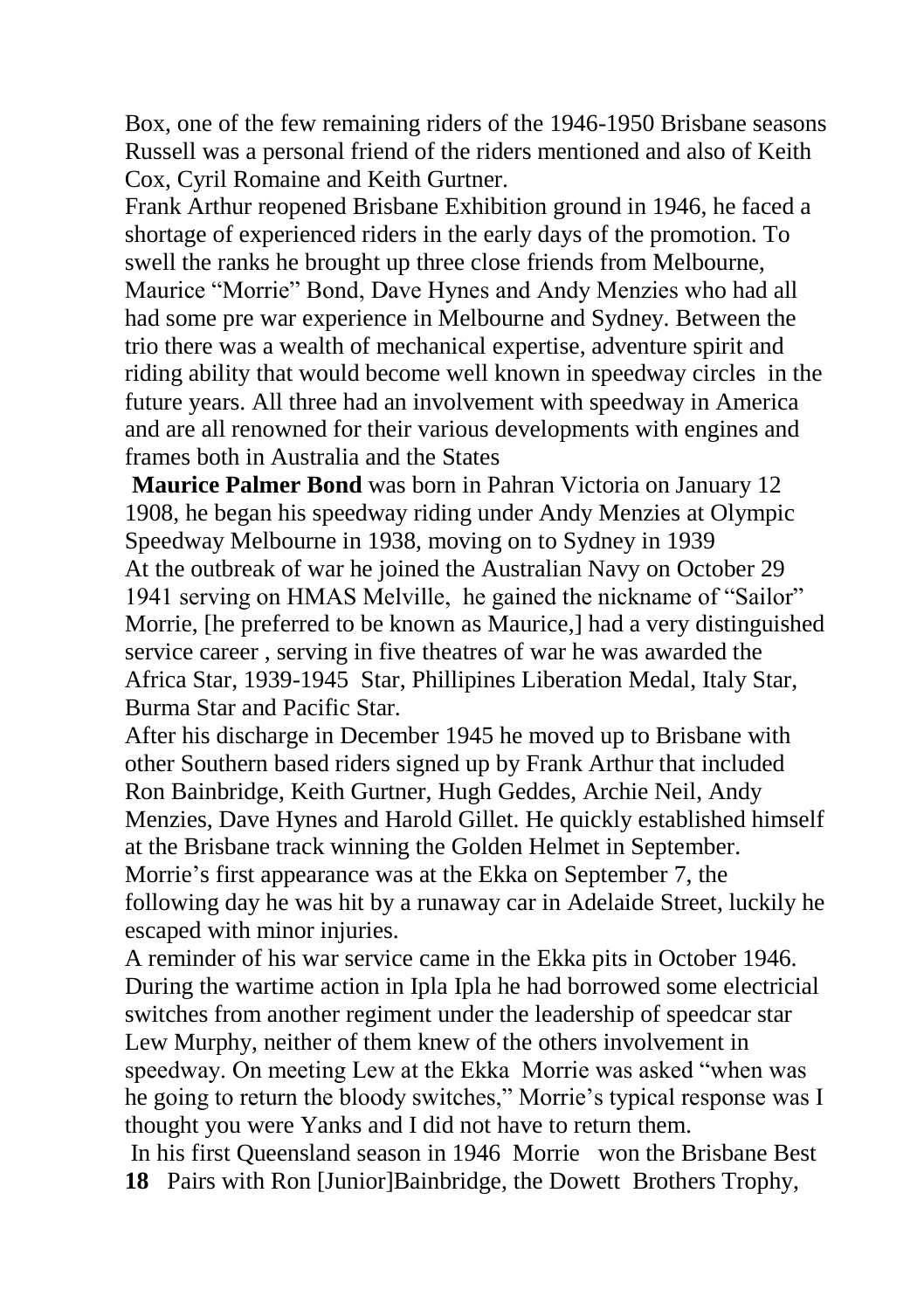Box, one of the few remaining riders of the 1946-1950 Brisbane seasons Russell was a personal friend of the riders mentioned and also of Keith Cox, Cyril Romaine and Keith Gurtner.

Frank Arthur reopened Brisbane Exhibition ground in 1946, he faced a shortage of experienced riders in the early days of the promotion. To swell the ranks he brought up three close friends from Melbourne, Maurice "Morrie" Bond, Dave Hynes and Andy Menzies who had all had some pre war experience in Melbourne and Sydney. Between the trio there was a wealth of mechanical expertise, adventure spirit and riding ability that would become well known in speedway circles in the future years. All three had an involvement with speedway in America and are all renowned for their various developments with engines and frames both in Australia and the States

**Maurice Palmer Bond** was born in Pahran Victoria on January 12 1908, he began his speedway riding under Andy Menzies at Olympic Speedway Melbourne in 1938, moving on to Sydney in 1939 At the outbreak of war he joined the Australian Navy on October 29 1941 serving on HMAS Melville, he gained the nickname of "Sailor" Morrie, [he preferred to be known as Maurice,] had a very distinguished service career , serving in five theatres of war he was awarded the Africa Star, 1939-1945 Star, Phillipines Liberation Medal, Italy Star, Burma Star and Pacific Star.

After his discharge in December 1945 he moved up to Brisbane with other Southern based riders signed up by Frank Arthur that included Ron Bainbridge, Keith Gurtner, Hugh Geddes, Archie Neil, Andy Menzies, Dave Hynes and Harold Gillet. He quickly established himself at the Brisbane track winning the Golden Helmet in September. Morrie's first appearance was at the Ekka on September 7, the following day he was hit by a runaway car in Adelaide Street, luckily he escaped with minor injuries.

A reminder of his war service came in the Ekka pits in October 1946. During the wartime action in Ipla Ipla he had borrowed some electricial switches from another regiment under the leadership of speedcar star Lew Murphy, neither of them knew of the others involvement in speedway. On meeting Lew at the Ekka Morrie was asked "when was he going to return the bloody switches," Morrie's typical response was I thought you were Yanks and I did not have to return them.

In his first Queensland season in 1946 Morrie won the Brisbane Best **18** Pairs with Ron [Junior]Bainbridge, the Dowett Brothers Trophy,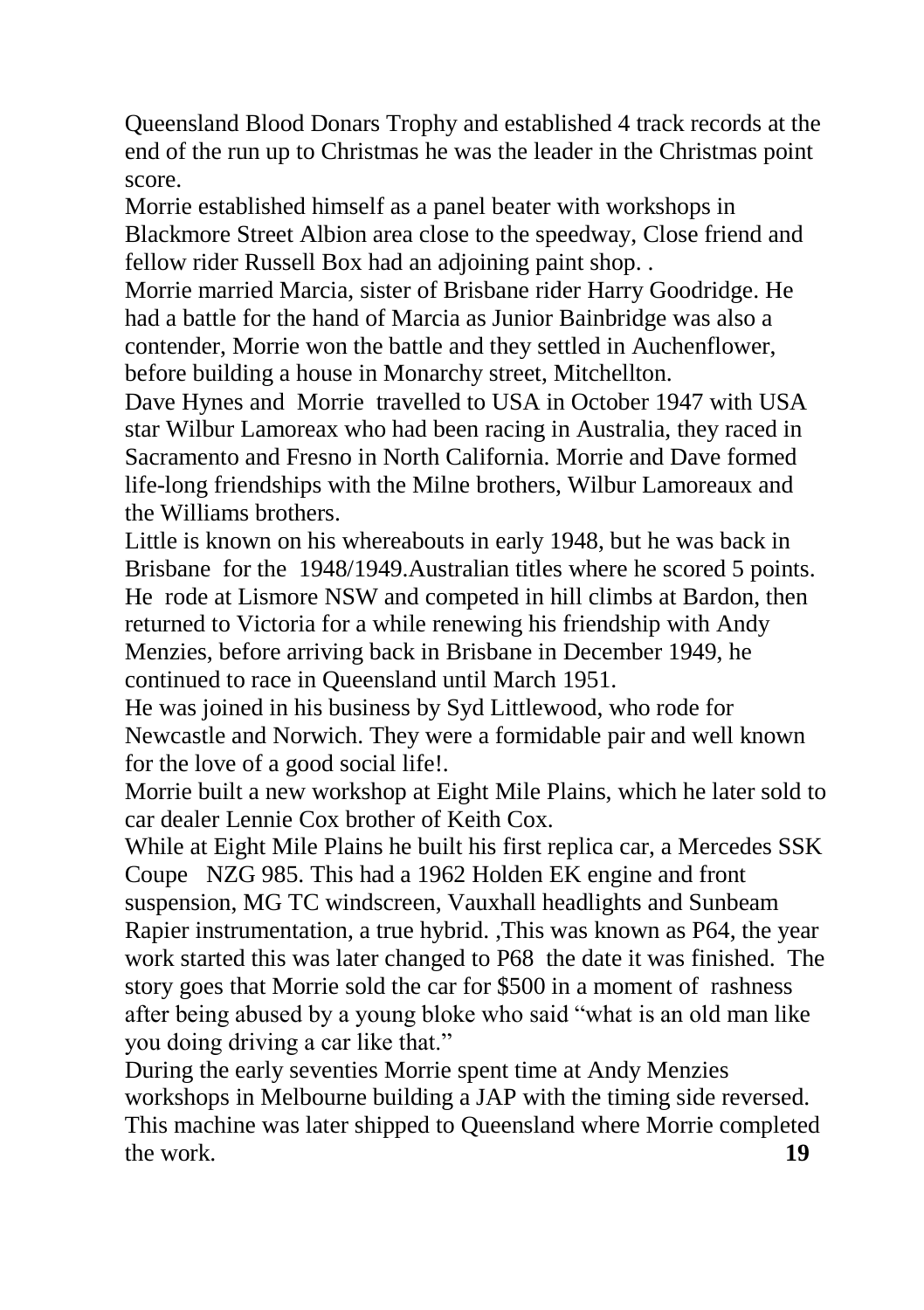Queensland Blood Donars Trophy and established 4 track records at the end of the run up to Christmas he was the leader in the Christmas point score.

Morrie established himself as a panel beater with workshops in Blackmore Street Albion area close to the speedway, Close friend and fellow rider Russell Box had an adjoining paint shop. .

Morrie married Marcia, sister of Brisbane rider Harry Goodridge. He had a battle for the hand of Marcia as Junior Bainbridge was also a contender, Morrie won the battle and they settled in Auchenflower, before building a house in Monarchy street, Mitchellton.

Dave Hynes and Morrie travelled to USA in October 1947 with USA star Wilbur Lamoreax who had been racing in Australia, they raced in Sacramento and Fresno in North California. Morrie and Dave formed life-long friendships with the Milne brothers, Wilbur Lamoreaux and the Williams brothers.

Little is known on his whereabouts in early 1948, but he was back in Brisbane for the 1948/1949.Australian titles where he scored 5 points. He rode at Lismore NSW and competed in hill climbs at Bardon, then returned to Victoria for a while renewing his friendship with Andy Menzies, before arriving back in Brisbane in December 1949, he continued to race in Queensland until March 1951.

He was joined in his business by Syd Littlewood, who rode for Newcastle and Norwich. They were a formidable pair and well known for the love of a good social life!.

Morrie built a new workshop at Eight Mile Plains, which he later sold to car dealer Lennie Cox brother of Keith Cox.

While at Eight Mile Plains he built his first replica car, a Mercedes SSK Coupe NZG 985. This had a 1962 Holden EK engine and front suspension, MG TC windscreen, Vauxhall headlights and Sunbeam Rapier instrumentation, a true hybrid. ,This was known as P64, the year work started this was later changed to P68 the date it was finished. The story goes that Morrie sold the car for \$500 in a moment of rashness after being abused by a young bloke who said "what is an old man like you doing driving a car like that."

During the early seventies Morrie spent time at Andy Menzies workshops in Melbourne building a JAP with the timing side reversed. This machine was later shipped to Queensland where Morrie completed the work. **19**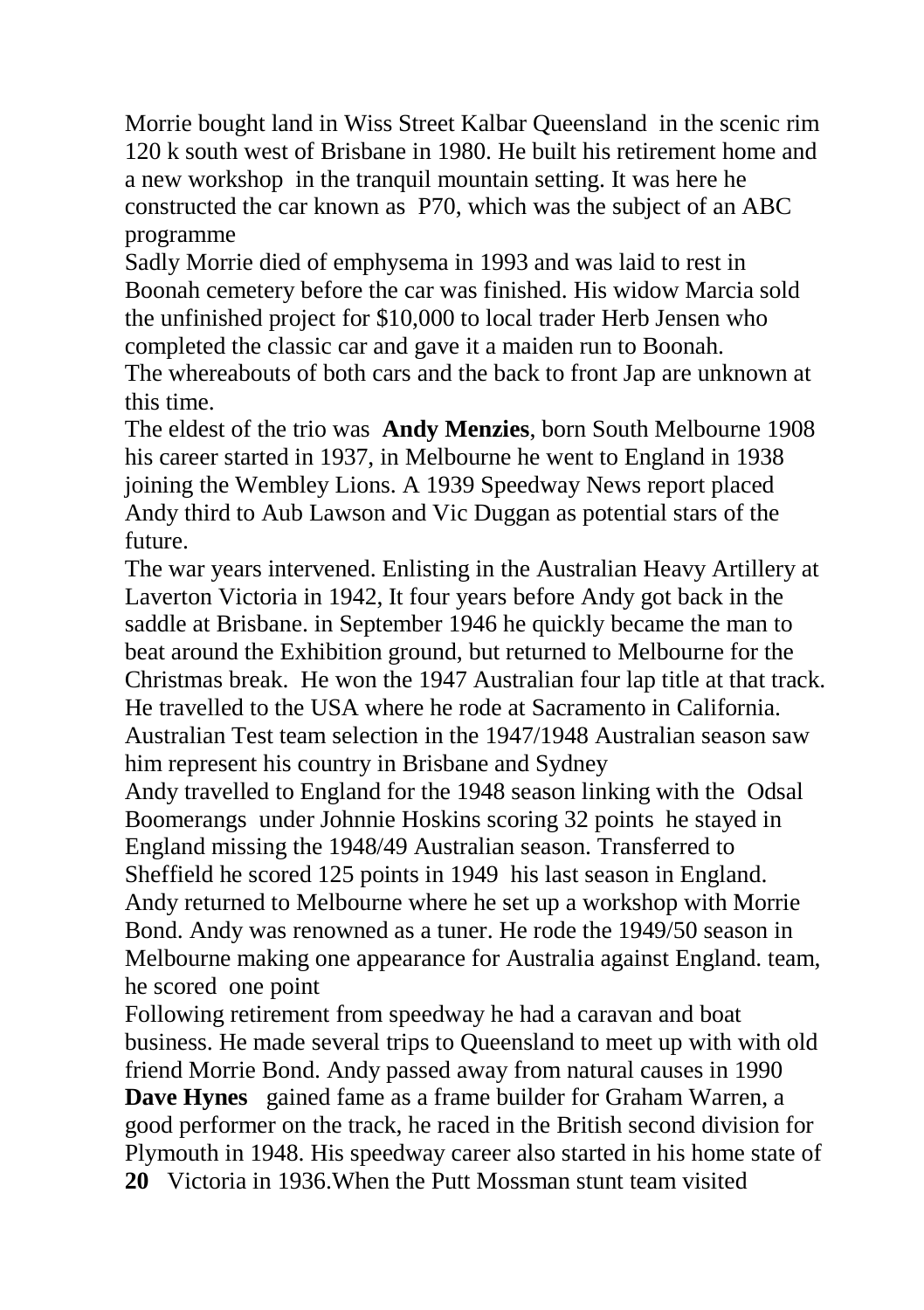Morrie bought land in Wiss Street Kalbar Queensland in the scenic rim 120 k south west of Brisbane in 1980. He built his retirement home and a new workshop in the tranquil mountain setting. It was here he constructed the car known as P70, which was the subject of an ABC programme

Sadly Morrie died of emphysema in 1993 and was laid to rest in Boonah cemetery before the car was finished. His widow Marcia sold the unfinished project for \$10,000 to local trader Herb Jensen who completed the classic car and gave it a maiden run to Boonah.

The whereabouts of both cars and the back to front Jap are unknown at this time.

The eldest of the trio was **Andy Menzies**, born South Melbourne 1908 his career started in 1937, in Melbourne he went to England in 1938 joining the Wembley Lions. A 1939 Speedway News report placed Andy third to Aub Lawson and Vic Duggan as potential stars of the future.

The war years intervened. Enlisting in the Australian Heavy Artillery at Laverton Victoria in 1942, It four years before Andy got back in the saddle at Brisbane. in September 1946 he quickly became the man to beat around the Exhibition ground, but returned to Melbourne for the Christmas break. He won the 1947 Australian four lap title at that track. He travelled to the USA where he rode at Sacramento in California. Australian Test team selection in the 1947/1948 Australian season saw him represent his country in Brisbane and Sydney

Andy travelled to England for the 1948 season linking with the Odsal Boomerangs under Johnnie Hoskins scoring 32 points he stayed in England missing the 1948/49 Australian season. Transferred to Sheffield he scored 125 points in 1949 his last season in England. Andy returned to Melbourne where he set up a workshop with Morrie Bond. Andy was renowned as a tuner. He rode the 1949/50 season in Melbourne making one appearance for Australia against England. team, he scored one point

Following retirement from speedway he had a caravan and boat business. He made several trips to Queensland to meet up with with old friend Morrie Bond. Andy passed away from natural causes in 1990 **Dave Hynes** gained fame as a frame builder for Graham Warren, a good performer on the track, he raced in the British second division for Plymouth in 1948. His speedway career also started in his home state of **20** Victoria in 1936.When the Putt Mossman stunt team visited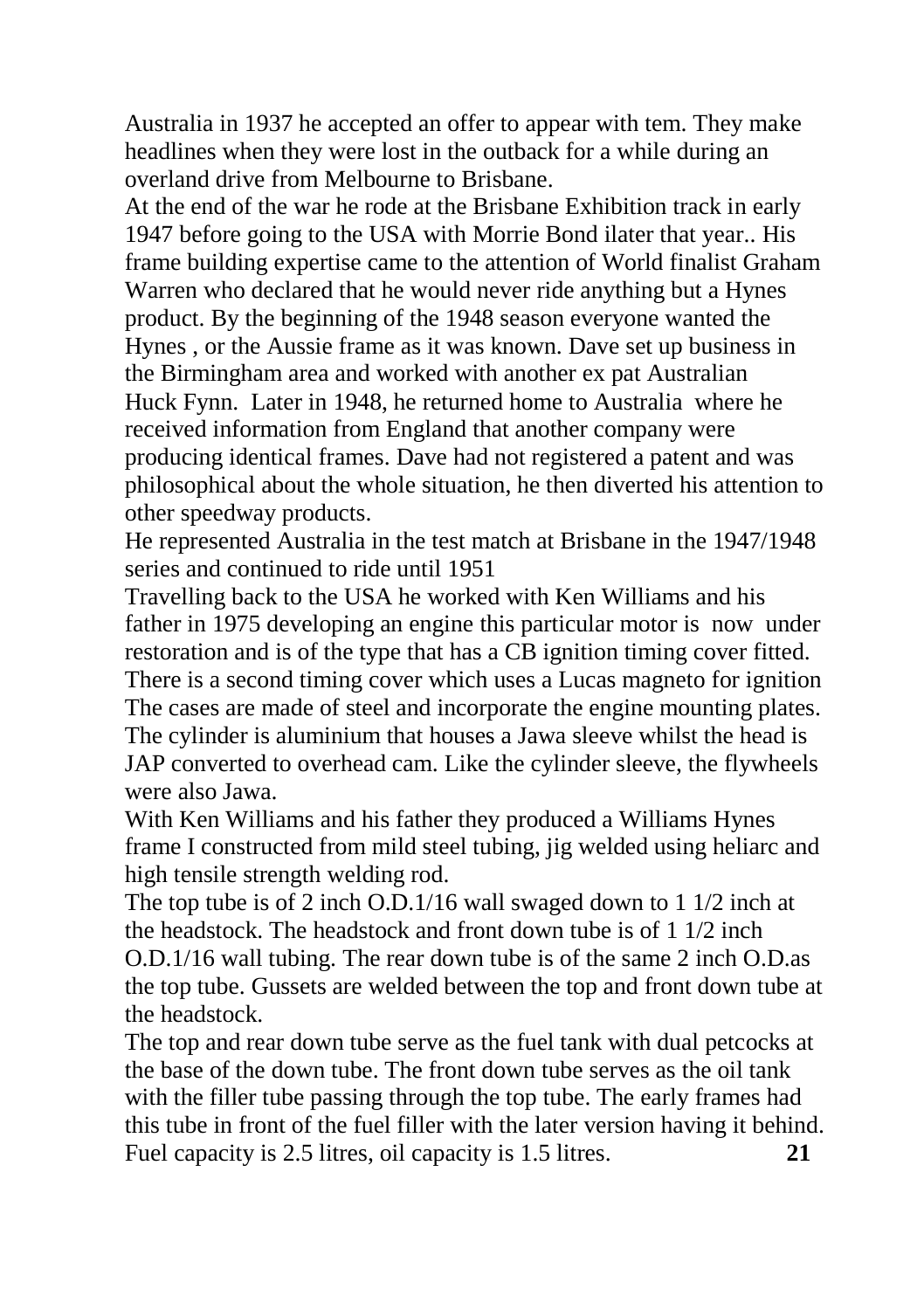Australia in 1937 he accepted an offer to appear with tem. They make headlines when they were lost in the outback for a while during an overland drive from Melbourne to Brisbane.

At the end of the war he rode at the Brisbane Exhibition track in early 1947 before going to the USA with Morrie Bond ilater that year.. His frame building expertise came to the attention of World finalist Graham Warren who declared that he would never ride anything but a Hynes product. By the beginning of the 1948 season everyone wanted the Hynes , or the Aussie frame as it was known. Dave set up business in the Birmingham area and worked with another ex pat Australian Huck Fynn. Later in 1948, he returned home to Australia where he received information from England that another company were producing identical frames. Dave had not registered a patent and was philosophical about the whole situation, he then diverted his attention to other speedway products.

He represented Australia in the test match at Brisbane in the 1947/1948 series and continued to ride until 1951

Travelling back to the USA he worked with Ken Williams and his father in 1975 developing an engine this particular motor is now under restoration and is of the type that has a CB ignition timing cover fitted. There is a second timing cover which uses a Lucas magneto for ignition The cases are made of steel and incorporate the engine mounting plates. The cylinder is aluminium that houses a Jawa sleeve whilst the head is JAP converted to overhead cam. Like the cylinder sleeve, the flywheels were also Jawa.

With Ken Williams and his father they produced a Williams Hynes frame I constructed from mild steel tubing, jig welded using heliarc and high tensile strength welding rod.

The top tube is of 2 inch O.D.1/16 wall swaged down to 1 1/2 inch at the headstock. The headstock and front down tube is of 1 1/2 inch O.D.1/16 wall tubing. The rear down tube is of the same 2 inch O.D.as the top tube. Gussets are welded between the top and front down tube at the headstock.

The top and rear down tube serve as the fuel tank with dual petcocks at the base of the down tube. The front down tube serves as the oil tank with the filler tube passing through the top tube. The early frames had this tube in front of the fuel filler with the later version having it behind. Fuel capacity is 2.5 litres, oil capacity is 1.5 litres. **21**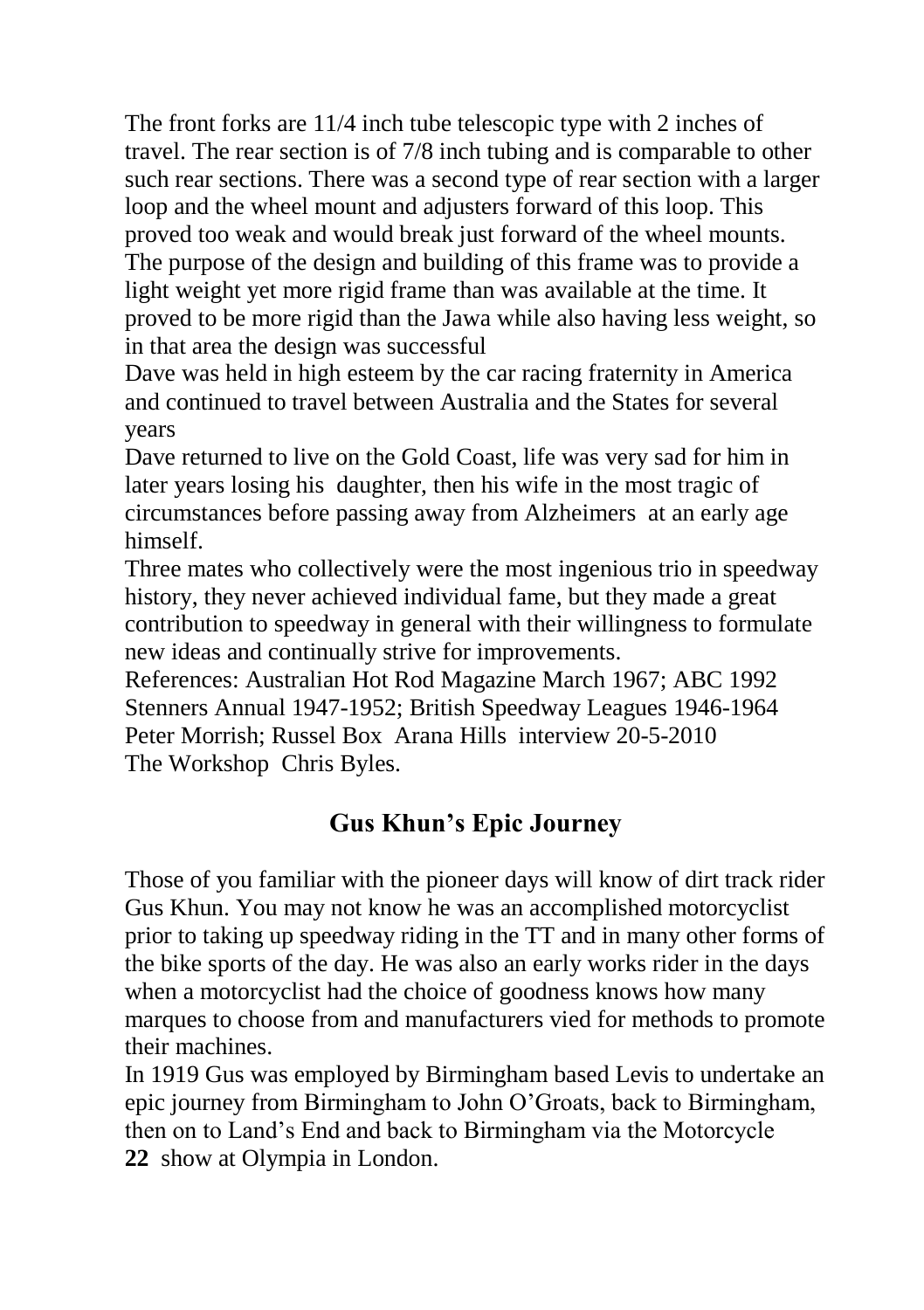The front forks are 11/4 inch tube telescopic type with 2 inches of travel. The rear section is of 7/8 inch tubing and is comparable to other such rear sections. There was a second type of rear section with a larger loop and the wheel mount and adjusters forward of this loop. This proved too weak and would break just forward of the wheel mounts. The purpose of the design and building of this frame was to provide a light weight yet more rigid frame than was available at the time. It proved to be more rigid than the Jawa while also having less weight, so in that area the design was successful

Dave was held in high esteem by the car racing fraternity in America and continued to travel between Australia and the States for several years

Dave returned to live on the Gold Coast, life was very sad for him in later years losing his daughter, then his wife in the most tragic of circumstances before passing away from Alzheimers at an early age himself.

Three mates who collectively were the most ingenious trio in speedway history, they never achieved individual fame, but they made a great contribution to speedway in general with their willingness to formulate new ideas and continually strive for improvements.

References: Australian Hot Rod Magazine March 1967; ABC 1992 Stenners Annual 1947-1952; British Speedway Leagues 1946-1964 Peter Morrish; Russel Box Arana Hills interview 20-5-2010 The Workshop Chris Byles.

# **Gus Khun's Epic Journey**

Those of you familiar with the pioneer days will know of dirt track rider Gus Khun. You may not know he was an accomplished motorcyclist prior to taking up speedway riding in the TT and in many other forms of the bike sports of the day. He was also an early works rider in the days when a motorcyclist had the choice of goodness knows how many marques to choose from and manufacturers vied for methods to promote their machines.

In 1919 Gus was employed by Birmingham based Levis to undertake an epic journey from Birmingham to John O'Groats, back to Birmingham, then on to Land's End and back to Birmingham via the Motorcycle **22** show at Olympia in London.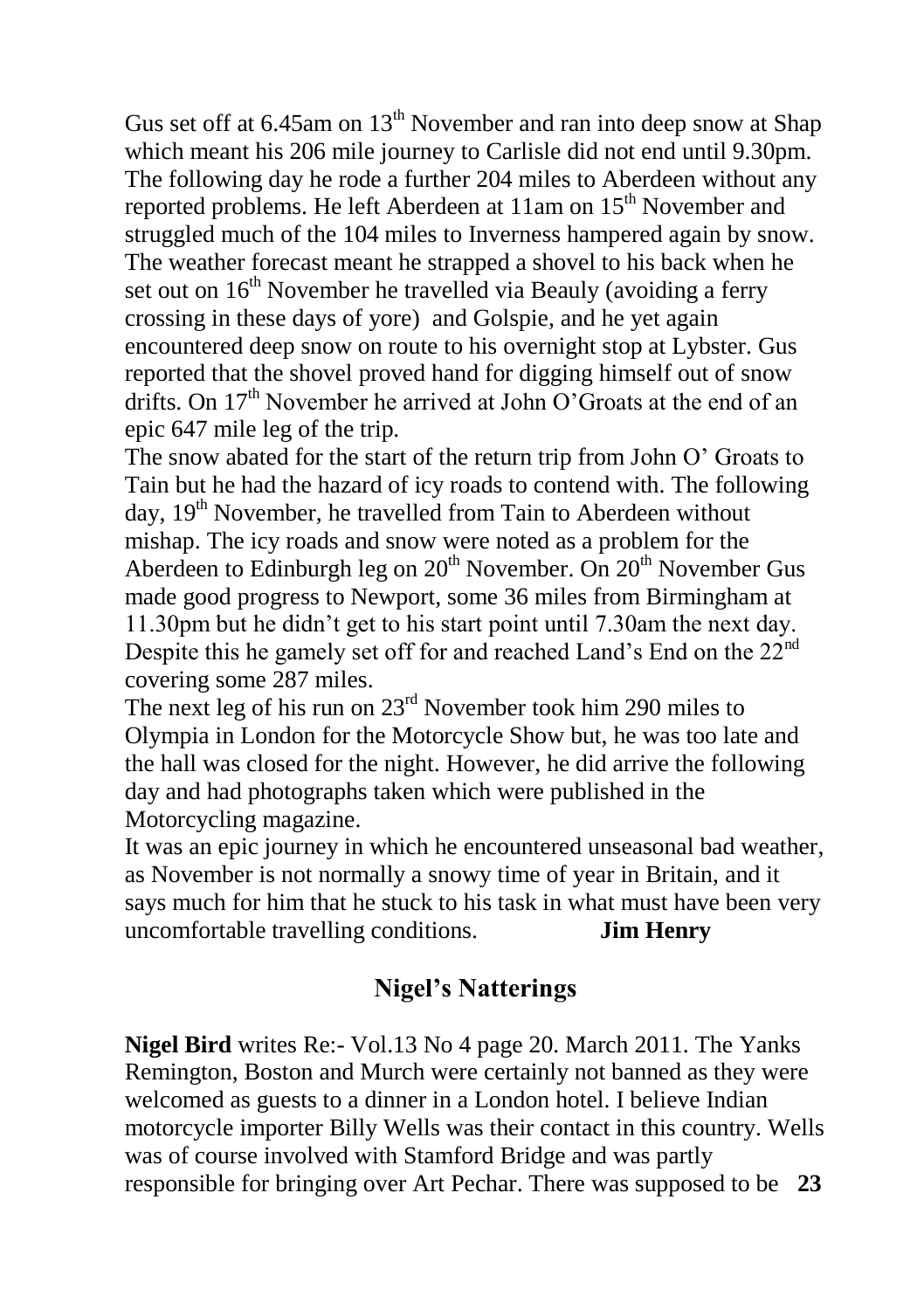Gus set off at  $6.45$ am on  $13<sup>th</sup>$  November and ran into deep snow at Shap which meant his 206 mile journey to Carlisle did not end until 9.30pm. The following day he rode a further 204 miles to Aberdeen without any reported problems. He left Aberdeen at 11am on 15<sup>th</sup> November and struggled much of the 104 miles to Inverness hampered again by snow. The weather forecast meant he strapped a shovel to his back when he set out on  $16<sup>th</sup>$  November he travelled via Beauly (avoiding a ferry crossing in these days of yore) and Golspie, and he yet again encountered deep snow on route to his overnight stop at Lybster. Gus reported that the shovel proved hand for digging himself out of snow drifts. On 17<sup>th</sup> November he arrived at John O'Groats at the end of an epic 647 mile leg of the trip.

The snow abated for the start of the return trip from John O' Groats to Tain but he had the hazard of icy roads to contend with. The following day, 19<sup>th</sup> November, he travelled from Tain to Aberdeen without mishap. The icy roads and snow were noted as a problem for the Aberdeen to Edinburgh leg on  $20<sup>th</sup>$  November. On  $20<sup>th</sup>$  November Gus made good progress to Newport, some 36 miles from Birmingham at 11.30pm but he didn't get to his start point until 7.30am the next day. Despite this he gamely set off for and reached Land's End on the 22nd covering some 287 miles.

The next leg of his run on  $23<sup>rd</sup>$  November took him 290 miles to Olympia in London for the Motorcycle Show but, he was too late and the hall was closed for the night. However, he did arrive the following day and had photographs taken which were published in the Motorcycling magazine.

It was an epic journey in which he encountered unseasonal bad weather, as November is not normally a snowy time of year in Britain, and it says much for him that he stuck to his task in what must have been very uncomfortable travelling conditions. **Jim Henry**

## **Nigel's Natterings**

**Nigel Bird** writes Re:- Vol.13 No 4 page 20. March 2011. The Yanks Remington, Boston and Murch were certainly not banned as they were welcomed as guests to a dinner in a London hotel. I believe Indian motorcycle importer Billy Wells was their contact in this country. Wells was of course involved with Stamford Bridge and was partly responsible for bringing over Art Pechar. There was supposed to be **23**